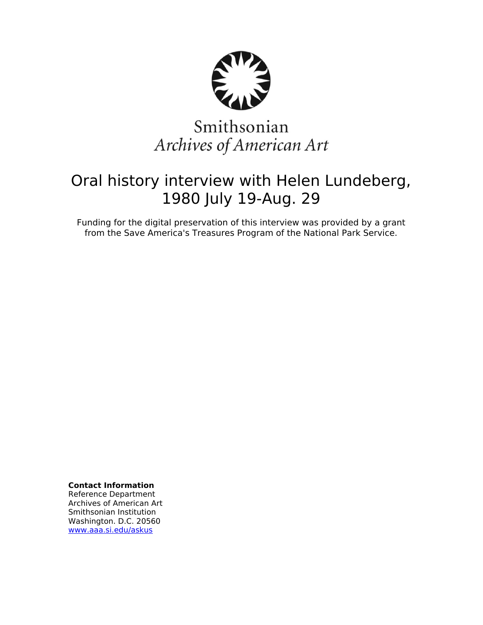

# Smithsonian Archives of American Art

# Oral history interview with Helen Lundeberg, 1980 July 19-Aug. 29

Funding for the digital preservation of this interview was provided by a grant from the Save America's Treasures Program of the National Park Service.

**Contact Information**

Reference Department Archives of American Art Smithsonian Institution Washington. D.C. 20560 [www.aaa.si.edu/askus](http://www.aaa.si.edu/askus)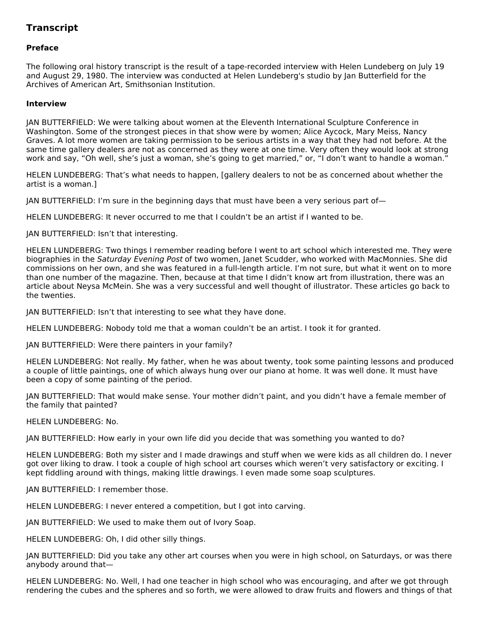## **Transcript**

### **Preface**

The following oral history transcript is the result of a tape-recorded interview with Helen Lundeberg on July 19 and August 29, 1980. The interview was conducted at Helen Lundeberg's studio by Jan Butterfield for the Archives of American Art, Smithsonian Institution.

### **Interview**

JAN BUTTERFIELD: We were talking about women at the Eleventh International Sculpture Conference in Washington. Some of the strongest pieces in that show were by women; Alice Aycock, Mary Meiss, Nancy Graves. A lot more women are taking permission to be serious artists in a way that they had not before. At the same time gallery dealers are not as concerned as they were at one time. Very often they would look at strong work and say, "Oh well, she's just a woman, she's going to get married," or, "I don't want to handle a woman."

HELEN LUNDEBERG: That's what needs to happen, [gallery dealers to not be as concerned about whether the artist is a woman.]

JAN BUTTERFIELD: I'm sure in the beginning days that must have been a very serious part of—

HELEN LUNDEBERG: It never occurred to me that I couldn't be an artist if I wanted to be.

JAN BUTTERFIELD: Isn't that interesting.

HELEN LUNDEBERG: Two things I remember reading before I went to art school which interested me. They were biographies in the Saturday Evening Post of two women, Janet Scudder, who worked with MacMonnies. She did commissions on her own, and she was featured in a full-length article. I'm not sure, but what it went on to more than one number of the magazine. Then, because at that time I didn't know art from illustration, there was an article about Neysa McMein. She was a very successful and well thought of illustrator. These articles go back to the twenties.

JAN BUTTERFIELD: Isn't that interesting to see what they have done.

HELEN LUNDEBERG: Nobody told me that a woman couldn't be an artist. I took it for granted.

JAN BUTTERFIELD: Were there painters in your family?

HELEN LUNDEBERG: Not really. My father, when he was about twenty, took some painting lessons and produced a couple of little paintings, one of which always hung over our piano at home. It was well done. It must have been a copy of some painting of the period.

JAN BUTTERFIELD: That would make sense. Your mother didn't paint, and you didn't have a female member of the family that painted?

HELEN LUNDEBERG: No.

JAN BUTTERFIELD: How early in your own life did you decide that was something you wanted to do?

HELEN LUNDEBERG: Both my sister and I made drawings and stuff when we were kids as all children do. I never got over liking to draw. I took a couple of high school art courses which weren't very satisfactory or exciting. I kept fiddling around with things, making little drawings. I even made some soap sculptures.

JAN BUTTERFIELD: I remember those.

HELEN LUNDEBERG: I never entered a competition, but I got into carving.

JAN BUTTERFIELD: We used to make them out of Ivory Soap.

HELEN LUNDEBERG: Oh, I did other silly things.

JAN BUTTERFIELD: Did you take any other art courses when you were in high school, on Saturdays, or was there anybody around that—

HELEN LUNDEBERG: No. Well, I had one teacher in high school who was encouraging, and after we got through rendering the cubes and the spheres and so forth, we were allowed to draw fruits and flowers and things of that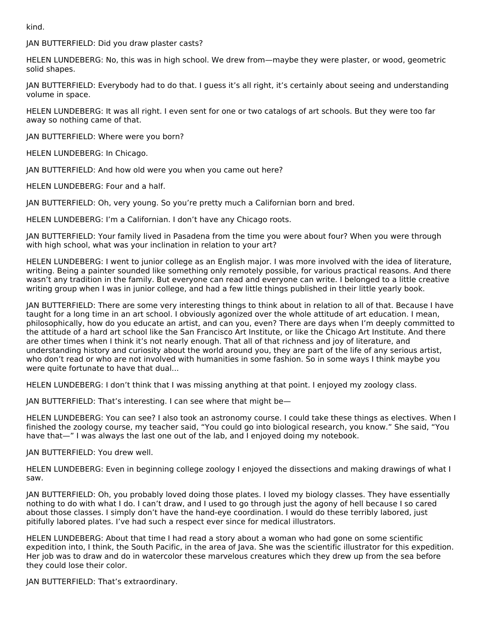kind.

JAN BUTTERFIELD: Did you draw plaster casts?

HELEN LUNDEBERG: No, this was in high school. We drew from—maybe they were plaster, or wood, geometric solid shapes.

JAN BUTTERFIELD: Everybody had to do that. I guess it's all right, it's certainly about seeing and understanding volume in space.

HELEN LUNDEBERG: It was all right. I even sent for one or two catalogs of art schools. But they were too far away so nothing came of that.

JAN BUTTERFIELD: Where were you born?

HELEN LUNDEBERG: In Chicago.

JAN BUTTERFIELD: And how old were you when you came out here?

HELEN LUNDEBERG: Four and a half.

JAN BUTTERFIELD: Oh, very young. So you're pretty much a Californian born and bred.

HELEN LUNDEBERG: I'm a Californian. I don't have any Chicago roots.

JAN BUTTERFIELD: Your family lived in Pasadena from the time you were about four? When you were through with high school, what was your inclination in relation to your art?

HELEN LUNDEBERG: I went to junior college as an English major. I was more involved with the idea of literature, writing. Being a painter sounded like something only remotely possible, for various practical reasons. And there wasn't any tradition in the family. But everyone can read and everyone can write. I belonged to a little creative writing group when I was in junior college, and had a few little things published in their little yearly book.

JAN BUTTERFIELD: There are some very interesting things to think about in relation to all of that. Because I have taught for a long time in an art school. I obviously agonized over the whole attitude of art education. I mean, philosophically, how do you educate an artist, and can you, even? There are days when I'm deeply committed to the attitude of a hard art school like the San Francisco Art Institute, or like the Chicago Art Institute. And there are other times when I think it's not nearly enough. That all of that richness and joy of literature, and understanding history and curiosity about the world around you, they are part of the life of any serious artist, who don't read or who are not involved with humanities in some fashion. So in some ways I think maybe you were quite fortunate to have that dual...

HELEN LUNDEBERG: I don't think that I was missing anything at that point. I enjoyed my zoology class.

JAN BUTTERFIELD: That's interesting. I can see where that might be—

HELEN LUNDEBERG: You can see? I also took an astronomy course. I could take these things as electives. When I finished the zoology course, my teacher said, "You could go into biological research, you know." She said, "You have that—" I was always the last one out of the lab, and I enjoyed doing my notebook.

JAN BUTTERFIELD: You drew well.

HELEN LUNDEBERG: Even in beginning college zoology I enjoyed the dissections and making drawings of what I saw.

JAN BUTTERFIELD: Oh, you probably loved doing those plates. I loved my biology classes. They have essentially nothing to do with what I do. I can't draw, and I used to go through just the agony of hell because I so cared about those classes. I simply don't have the hand-eye coordination. I would do these terribly labored, just pitifully labored plates. I've had such a respect ever since for medical illustrators.

HELEN LUNDEBERG: About that time I had read a story about a woman who had gone on some scientific expedition into, I think, the South Pacific, in the area of Java. She was the scientific illustrator for this expedition. Her job was to draw and do in watercolor these marvelous creatures which they drew up from the sea before they could lose their color.

JAN BUTTERFIELD: That's extraordinary.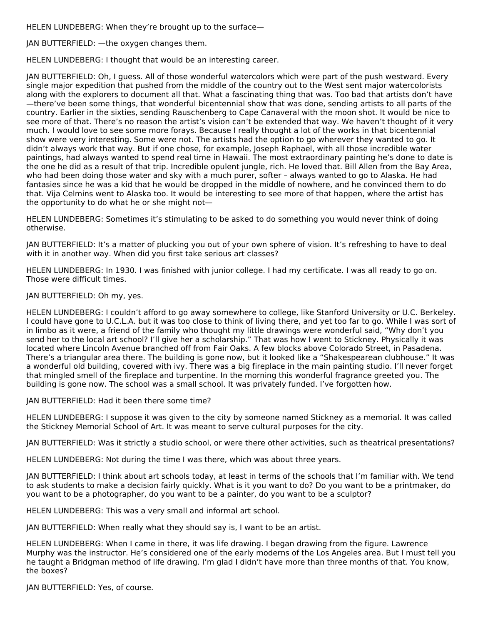HELEN LUNDEBERG: When they're brought up to the surface—

JAN BUTTERFIELD: —the oxygen changes them.

HELEN LUNDEBERG: I thought that would be an interesting career.

JAN BUTTERFIELD: Oh, I guess. All of those wonderful watercolors which were part of the push westward. Every single major expedition that pushed from the middle of the country out to the West sent major watercolorists along with the explorers to document all that. What a fascinating thing that was. Too bad that artists don't have —there've been some things, that wonderful bicentennial show that was done, sending artists to all parts of the country. Earlier in the sixties, sending Rauschenberg to Cape Canaveral with the moon shot. It would be nice to see more of that. There's no reason the artist's vision can't be extended that way. We haven't thought of it very much. I would love to see some more forays. Because I really thought a lot of the works in that bicentennial show were very interesting. Some were not. The artists had the option to go wherever they wanted to go. It didn't always work that way. But if one chose, for example, Joseph Raphael, with all those incredible water paintings, had always wanted to spend real time in Hawaii. The most extraordinary painting he's done to date is the one he did as a result of that trip. Incredible opulent jungle, rich. He loved that. Bill Allen from the Bay Area, who had been doing those water and sky with a much purer, softer – always wanted to go to Alaska. He had fantasies since he was a kid that he would be dropped in the middle of nowhere, and he convinced them to do that. Vija Celmins went to Alaska too. It would be interesting to see more of that happen, where the artist has the opportunity to do what he or she might not—

HELEN LUNDEBERG: Sometimes it's stimulating to be asked to do something you would never think of doing otherwise.

JAN BUTTERFIELD: It's a matter of plucking you out of your own sphere of vision. It's refreshing to have to deal with it in another way. When did you first take serious art classes?

HELEN LUNDEBERG: In 1930. I was finished with junior college. I had my certificate. I was all ready to go on. Those were difficult times.

JAN BUTTERFIELD: Oh my, yes.

HELEN LUNDEBERG: I couldn't afford to go away somewhere to college, like Stanford University or U.C. Berkeley. I could have gone to U.C.L.A. but it was too close to think of living there, and yet too far to go. While I was sort of in limbo as it were, a friend of the family who thought my little drawings were wonderful said, "Why don't you send her to the local art school? I'll give her a scholarship." That was how I went to Stickney. Physically it was located where Lincoln Avenue branched off from Fair Oaks. A few blocks above Colorado Street, in Pasadena. There's a triangular area there. The building is gone now, but it looked like a "Shakespearean clubhouse." It was a wonderful old building, covered with ivy. There was a big fireplace in the main painting studio. I'll never forget that mingled smell of the fireplace and turpentine. In the morning this wonderful fragrance greeted you. The building is gone now. The school was a small school. It was privately funded. I've forgotten how.

JAN BUTTERFIELD: Had it been there some time?

HELEN LUNDEBERG: I suppose it was given to the city by someone named Stickney as a memorial. It was called the Stickney Memorial School of Art. It was meant to serve cultural purposes for the city.

JAN BUTTERFIELD: Was it strictly a studio school, or were there other activities, such as theatrical presentations?

HELEN LUNDEBERG: Not during the time I was there, which was about three years.

JAN BUTTERFIELD: I think about art schools today, at least in terms of the schools that I'm familiar with. We tend to ask students to make a decision fairly quickly. What is it you want to do? Do you want to be a printmaker, do you want to be a photographer, do you want to be a painter, do you want to be a sculptor?

HELEN LUNDEBERG: This was a very small and informal art school.

JAN BUTTERFIELD: When really what they should say is, I want to be an artist.

HELEN LUNDEBERG: When I came in there, it was life drawing. I began drawing from the figure. Lawrence Murphy was the instructor. He's considered one of the early moderns of the Los Angeles area. But I must tell you he taught a Bridgman method of life drawing. I'm glad I didn't have more than three months of that. You know, the boxes?

JAN BUTTERFIELD: Yes, of course.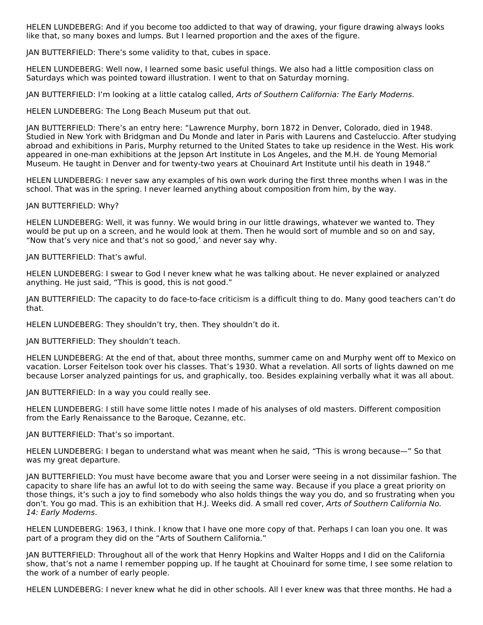HELEN LUNDEBERG: And if you become too addicted to that way of drawing, your figure drawing always looks like that, so many boxes and lumps. But I learned proportion and the axes of the figure.

JAN BUTTERFIELD: There's some validity to that, cubes in space.

HELEN LUNDEBERG: Well now, I learned some basic useful things. We also had a little composition class on Saturdays which was pointed toward illustration. I went to that on Saturday morning.

JAN BUTTERFIELD: I'm looking at a little catalog called, Arts of Southern California: The Early Moderns.

HELEN LUNDEBERG: The Long Beach Museum put that out.

JAN BUTTERFIELD: There's an entry here: "Lawrence Murphy, born 1872 in Denver, Colorado, died in 1948. Studied in New York with Bridgman and Du Monde and later in Paris with Laurens and Casteluccio. After studying abroad and exhibitions in Paris, Murphy returned to the United States to take up residence in the West. His work appeared in one-man exhibitions at the Jepson Art Institute in Los Angeles, and the M.H. de Young Memorial Museum. He taught in Denver and for twenty-two years at Chouinard Art Institute until his death in 1948."

HELEN LUNDEBERG: I never saw any examples of his own work during the first three months when I was in the school. That was in the spring. I never learned anything about composition from him, by the way.

JAN BUTTERFIELD: Why?

HELEN LUNDEBERG: Well, it was funny. We would bring in our little drawings, whatever we wanted to. They would be put up on a screen, and he would look at them. Then he would sort of mumble and so on and say, "Now that's very nice and that's not so good,' and never say why.

JAN BUTTERFIELD: That's awful.

HELEN LUNDEBERG: I swear to God I never knew what he was talking about. He never explained or analyzed anything. He just said, "This is good, this is not good."

JAN BUTTERFIELD: The capacity to do face-to-face criticism is a difficult thing to do. Many good teachers can't do that.

HELEN LUNDEBERG: They shouldn't try, then. They shouldn't do it.

JAN BUTTERFIELD: They shouldn't teach.

HELEN LUNDEBERG: At the end of that, about three months, summer came on and Murphy went off to Mexico on vacation. Lorser Feitelson took over his classes. That's 1930. What a revelation. All sorts of lights dawned on me because Lorser analyzed paintings for us, and graphically, too. Besides explaining verbally what it was all about.

JAN BUTTERFIELD: In a way you could really see.

HELEN LUNDEBERG: I still have some little notes I made of his analyses of old masters. Different composition from the Early Renaissance to the Baroque, Cezanne, etc.

JAN BUTTERFIELD: That's so important.

HELEN LUNDEBERG: I began to understand what was meant when he said, "This is wrong because—" So that was my great departure.

JAN BUTTERFIELD: You must have become aware that you and Lorser were seeing in a not dissimilar fashion. The capacity to share life has an awful lot to do with seeing the same way. Because if you place a great priority on those things, it's such a joy to find somebody who also holds things the way you do, and so frustrating when you don't. You go mad. This is an exhibition that H.J. Weeks did. A small red cover, Arts of Southern California No. 14: Early Moderns.

HELEN LUNDEBERG: 1963, I think. I know that I have one more copy of that. Perhaps I can loan you one. It was part of a program they did on the "Arts of Southern California."

JAN BUTTERFIELD: Throughout all of the work that Henry Hopkins and Walter Hopps and I did on the California show, that's not a name I remember popping up. If he taught at Chouinard for some time, I see some relation to the work of a number of early people.

HELEN LUNDEBERG: I never knew what he did in other schools. All I ever knew was that three months. He had a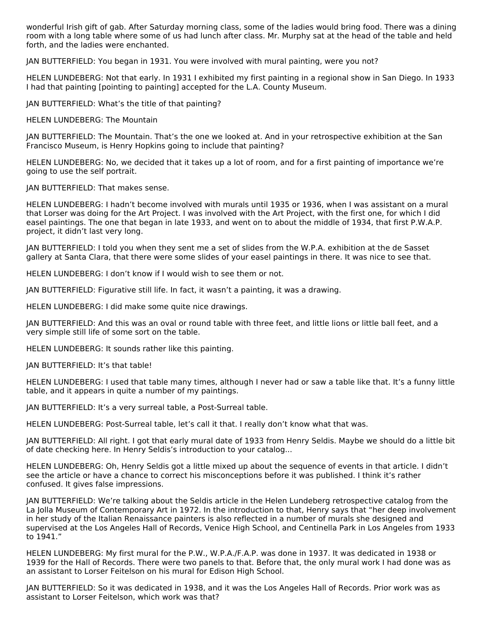wonderful Irish gift of gab. After Saturday morning class, some of the ladies would bring food. There was a dining room with a long table where some of us had lunch after class. Mr. Murphy sat at the head of the table and held forth, and the ladies were enchanted.

JAN BUTTERFIELD: You began in 1931. You were involved with mural painting, were you not?

HELEN LUNDEBERG: Not that early. In 1931 I exhibited my first painting in a regional show in San Diego. In 1933 I had that painting [pointing to painting] accepted for the L.A. County Museum.

JAN BUTTERFIELD: What's the title of that painting?

HELEN LUNDEBERG: The Mountain

JAN BUTTERFIELD: The Mountain. That's the one we looked at. And in your retrospective exhibition at the San Francisco Museum, is Henry Hopkins going to include that painting?

HELEN LUNDEBERG: No, we decided that it takes up a lot of room, and for a first painting of importance we're going to use the self portrait.

JAN BUTTERFIELD: That makes sense.

HELEN LUNDEBERG: I hadn't become involved with murals until 1935 or 1936, when I was assistant on a mural that Lorser was doing for the Art Project. I was involved with the Art Project, with the first one, for which I did easel paintings. The one that began in late 1933, and went on to about the middle of 1934, that first P.W.A.P. project, it didn't last very long.

JAN BUTTERFIELD: I told you when they sent me a set of slides from the W.P.A. exhibition at the de Sasset gallery at Santa Clara, that there were some slides of your easel paintings in there. It was nice to see that.

HELEN LUNDEBERG: I don't know if I would wish to see them or not.

JAN BUTTERFIELD: Figurative still life. In fact, it wasn't a painting, it was a drawing.

HELEN LUNDEBERG: I did make some quite nice drawings.

JAN BUTTERFIELD: And this was an oval or round table with three feet, and little lions or little ball feet, and a very simple still life of some sort on the table.

HELEN LUNDEBERG: It sounds rather like this painting.

JAN BUTTERFIELD: It's that table!

HELEN LUNDEBERG: I used that table many times, although I never had or saw a table like that. It's a funny little table, and it appears in quite a number of my paintings.

JAN BUTTERFIELD: It's a very surreal table, a Post-Surreal table.

HELEN LUNDEBERG: Post-Surreal table, let's call it that. I really don't know what that was.

JAN BUTTERFIELD: All right. I got that early mural date of 1933 from Henry Seldis. Maybe we should do a little bit of date checking here. In Henry Seldis's introduction to your catalog...

HELEN LUNDEBERG: Oh, Henry Seldis got a little mixed up about the sequence of events in that article. I didn't see the article or have a chance to correct his misconceptions before it was published. I think it's rather confused. It gives false impressions.

JAN BUTTERFIELD: We're talking about the Seldis article in the Helen Lundeberg retrospective catalog from the La Jolla Museum of Contemporary Art in 1972. In the introduction to that, Henry says that "her deep involvement in her study of the Italian Renaissance painters is also reflected in a number of murals she designed and supervised at the Los Angeles Hall of Records, Venice High School, and Centinella Park in Los Angeles from 1933 to 1941."

HELEN LUNDEBERG: My first mural for the P.W., W.P.A./F.A.P. was done in 1937. It was dedicated in 1938 or 1939 for the Hall of Records. There were two panels to that. Before that, the only mural work I had done was as an assistant to Lorser Feitelson on his mural for Edison High School.

JAN BUTTERFIELD: So it was dedicated in 1938, and it was the Los Angeles Hall of Records. Prior work was as assistant to Lorser Feitelson, which work was that?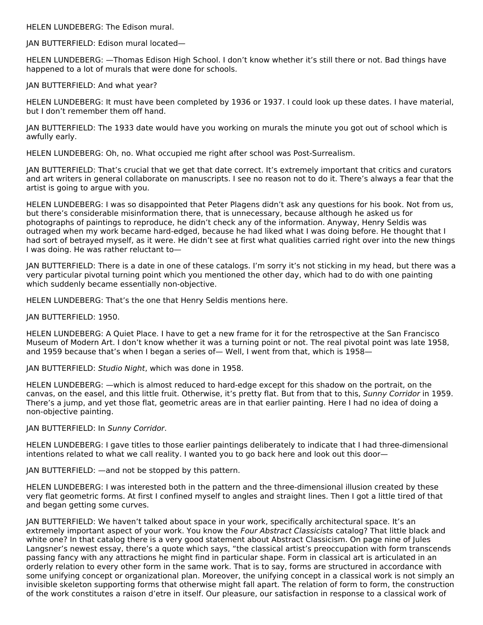HELEN LUNDEBERG: The Edison mural.

JAN BUTTERFIELD: Edison mural located—

HELEN LUNDEBERG: —Thomas Edison High School. I don't know whether it's still there or not. Bad things have happened to a lot of murals that were done for schools.

JAN BUTTERFIELD: And what year?

HELEN LUNDEBERG: It must have been completed by 1936 or 1937. I could look up these dates. I have material, but I don't remember them off hand.

JAN BUTTERFIELD: The 1933 date would have you working on murals the minute you got out of school which is awfully early.

HELEN LUNDEBERG: Oh, no. What occupied me right after school was Post-Surrealism.

JAN BUTTERFIELD: That's crucial that we get that date correct. It's extremely important that critics and curators and art writers in general collaborate on manuscripts. I see no reason not to do it. There's always a fear that the artist is going to argue with you.

HELEN LUNDEBERG: I was so disappointed that Peter Plagens didn't ask any questions for his book. Not from us, but there's considerable misinformation there, that is unnecessary, because although he asked us for photographs of paintings to reproduce, he didn't check any of the information. Anyway, Henry Seldis was outraged when my work became hard-edged, because he had liked what I was doing before. He thought that I had sort of betrayed myself, as it were. He didn't see at first what qualities carried right over into the new things I was doing. He was rather reluctant to—

JAN BUTTERFIELD: There is a date in one of these catalogs. I'm sorry it's not sticking in my head, but there was a very particular pivotal turning point which you mentioned the other day, which had to do with one painting which suddenly became essentially non-objective.

HELEN LUNDEBERG: That's the one that Henry Seldis mentions here.

JAN BUTTERFIELD: 1950.

HELEN LUNDEBERG: A Quiet Place. I have to get a new frame for it for the retrospective at the San Francisco Museum of Modern Art. I don't know whether it was a turning point or not. The real pivotal point was late 1958, and 1959 because that's when I began a series of— Well, I went from that, which is 1958—

JAN BUTTERFIELD: Studio Night, which was done in 1958.

HELEN LUNDEBERG: —which is almost reduced to hard-edge except for this shadow on the portrait, on the canvas, on the easel, and this little fruit. Otherwise, it's pretty flat. But from that to this, Sunny Corridor in 1959. There's a jump, and yet those flat, geometric areas are in that earlier painting. Here I had no idea of doing a non-objective painting.

JAN BUTTERFIELD: In Sunny Corridor.

HELEN LUNDEBERG: I gave titles to those earlier paintings deliberately to indicate that I had three-dimensional intentions related to what we call reality. I wanted you to go back here and look out this door—

JAN BUTTERFIELD: —and not be stopped by this pattern.

HELEN LUNDEBERG: I was interested both in the pattern and the three-dimensional illusion created by these very flat geometric forms. At first I confined myself to angles and straight lines. Then I got a little tired of that and began getting some curves.

JAN BUTTERFIELD: We haven't talked about space in your work, specifically architectural space. It's an extremely important aspect of your work. You know the Four Abstract Classicists catalog? That little black and white one? In that catalog there is a very good statement about Abstract Classicism. On page nine of Jules Langsner's newest essay, there's a quote which says, "the classical artist's preoccupation with form transcends passing fancy with any attractions he might find in particular shape. Form in classical art is articulated in an orderly relation to every other form in the same work. That is to say, forms are structured in accordance with some unifying concept or organizational plan. Moreover, the unifying concept in a classical work is not simply an invisible skeleton supporting forms that otherwise might fall apart. The relation of form to form, the construction of the work constitutes a raison d'etre in itself. Our pleasure, our satisfaction in response to a classical work of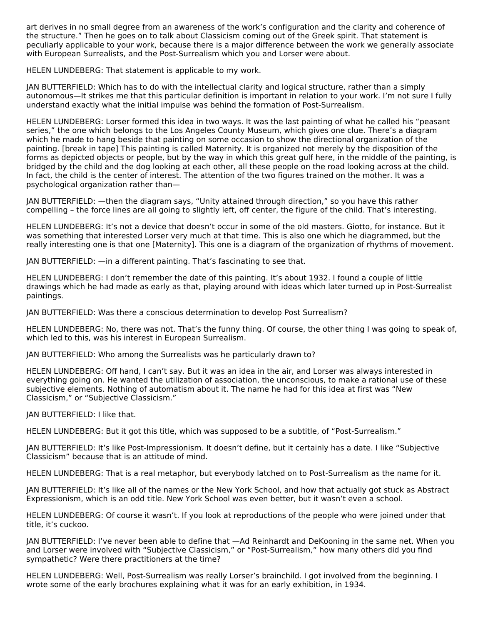art derives in no small degree from an awareness of the work's configuration and the clarity and coherence of the structure." Then he goes on to talk about Classicism coming out of the Greek spirit. That statement is peculiarly applicable to your work, because there is a major difference between the work we generally associate with European Surrealists, and the Post-Surrealism which you and Lorser were about.

HELEN LUNDEBERG: That statement is applicable to my work.

JAN BUTTERFIELD: Which has to do with the intellectual clarity and logical structure, rather than a simply autonomous—It strikes me that this particular definition is important in relation to your work. I'm not sure I fully understand exactly what the initial impulse was behind the formation of Post-Surrealism.

HELEN LUNDEBERG: Lorser formed this idea in two ways. It was the last painting of what he called his "peasant series," the one which belongs to the Los Angeles County Museum, which gives one clue. There's a diagram which he made to hang beside that painting on some occasion to show the directional organization of the painting. [break in tape] This painting is called Maternity. It is organized not merely by the disposition of the forms as depicted objects or people, but by the way in which this great gulf here, in the middle of the painting, is bridged by the child and the dog looking at each other, all these people on the road looking across at the child. In fact, the child is the center of interest. The attention of the two figures trained on the mother. It was a psychological organization rather than—

JAN BUTTERFIELD: —then the diagram says, "Unity attained through direction," so you have this rather compelling – the force lines are all going to slightly left, off center, the figure of the child. That's interesting.

HELEN LUNDEBERG: It's not a device that doesn't occur in some of the old masters. Giotto, for instance. But it was something that interested Lorser very much at that time. This is also one which he diagrammed, but the really interesting one is that one [Maternity]. This one is a diagram of the organization of rhythms of movement.

JAN BUTTERFIELD: —in a different painting. That's fascinating to see that.

HELEN LUNDEBERG: I don't remember the date of this painting. It's about 1932. I found a couple of little drawings which he had made as early as that, playing around with ideas which later turned up in Post-Surrealist paintings.

JAN BUTTERFIELD: Was there a conscious determination to develop Post Surrealism?

HELEN LUNDEBERG: No, there was not. That's the funny thing. Of course, the other thing I was going to speak of, which led to this, was his interest in European Surrealism.

JAN BUTTERFIELD: Who among the Surrealists was he particularly drawn to?

HELEN LUNDEBERG: Off hand, I can't say. But it was an idea in the air, and Lorser was always interested in everything going on. He wanted the utilization of association, the unconscious, to make a rational use of these subjective elements. Nothing of automatism about it. The name he had for this idea at first was "New Classicism," or "Subjective Classicism."

JAN BUTTERFIELD: I like that.

HELEN LUNDEBERG: But it got this title, which was supposed to be a subtitle, of "Post-Surrealism."

JAN BUTTERFIELD: It's like Post-Impressionism. It doesn't define, but it certainly has a date. I like "Subjective Classicism" because that is an attitude of mind.

HELEN LUNDEBERG: That is a real metaphor, but everybody latched on to Post-Surrealism as the name for it.

JAN BUTTERFIELD: It's like all of the names or the New York School, and how that actually got stuck as Abstract Expressionism, which is an odd title. New York School was even better, but it wasn't even a school.

HELEN LUNDEBERG: Of course it wasn't. If you look at reproductions of the people who were joined under that title, it's cuckoo.

JAN BUTTERFIELD: I've never been able to define that —Ad Reinhardt and DeKooning in the same net. When you and Lorser were involved with "Subjective Classicism," or "Post-Surrealism," how many others did you find sympathetic? Were there practitioners at the time?

HELEN LUNDEBERG: Well, Post-Surrealism was really Lorser's brainchild. I got involved from the beginning. I wrote some of the early brochures explaining what it was for an early exhibition, in 1934.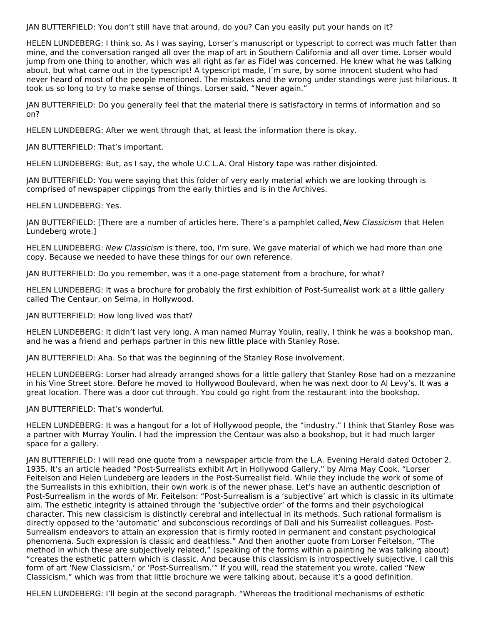JAN BUTTERFIELD: You don't still have that around, do you? Can you easily put your hands on it?

HELEN LUNDEBERG: I think so. As I was saying, Lorser's manuscript or typescript to correct was much fatter than mine, and the conversation ranged all over the map of art in Southern California and all over time. Lorser would jump from one thing to another, which was all right as far as Fidel was concerned. He knew what he was talking about, but what came out in the typescript! A typescript made, I'm sure, by some innocent student who had never heard of most of the people mentioned. The mistakes and the wrong under standings were just hilarious. It took us so long to try to make sense of things. Lorser said, "Never again."

JAN BUTTERFIELD: Do you generally feel that the material there is satisfactory in terms of information and so on?

HELEN LUNDEBERG: After we went through that, at least the information there is okay.

JAN BUTTERFIELD: That's important.

HELEN LUNDEBERG: But, as I say, the whole U.C.L.A. Oral History tape was rather disjointed.

JAN BUTTERFIELD: You were saying that this folder of very early material which we are looking through is comprised of newspaper clippings from the early thirties and is in the Archives.

HELEN LUNDEBERG: Yes.

JAN BUTTERFIELD: [There are a number of articles here. There's a pamphlet called, New Classicism that Helen Lundeberg wrote.]

HELEN LUNDEBERG: New Classicism is there, too, I'm sure. We gave material of which we had more than one copy. Because we needed to have these things for our own reference.

JAN BUTTERFIELD: Do you remember, was it a one-page statement from a brochure, for what?

HELEN LUNDEBERG: It was a brochure for probably the first exhibition of Post-Surrealist work at a little gallery called The Centaur, on Selma, in Hollywood.

JAN BUTTERFIELD: How long lived was that?

HELEN LUNDEBERG: It didn't last very long. A man named Murray Youlin, really, I think he was a bookshop man, and he was a friend and perhaps partner in this new little place with Stanley Rose.

JAN BUTTERFIELD: Aha. So that was the beginning of the Stanley Rose involvement.

HELEN LUNDEBERG: Lorser had already arranged shows for a little gallery that Stanley Rose had on a mezzanine in his Vine Street store. Before he moved to Hollywood Boulevard, when he was next door to Al Levy's. It was a great location. There was a door cut through. You could go right from the restaurant into the bookshop.

JAN BUTTERFIELD: That's wonderful.

HELEN LUNDEBERG: It was a hangout for a lot of Hollywood people, the "industry." I think that Stanley Rose was a partner with Murray Youlin. I had the impression the Centaur was also a bookshop, but it had much larger space for a gallery.

JAN BUTTERFIELD: I will read one quote from a newspaper article from the L.A. Evening Herald dated October 2, 1935. It's an article headed "Post-Surrealists exhibit Art in Hollywood Gallery," by Alma May Cook. "Lorser Feitelson and Helen Lundeberg are leaders in the Post-Surrealist field. While they include the work of some of the Surrealists in this exhibition, their own work is of the newer phase. Let's have an authentic description of Post-Surrealism in the words of Mr. Feitelson: "Post-Surrealism is a 'subjective' art which is classic in its ultimate aim. The esthetic integrity is attained through the 'subjective order' of the forms and their psychological character. This new classicism is distinctly cerebral and intellectual in its methods. Such rational formalism is directly opposed to the 'automatic' and subconscious recordings of Dali and his Surrealist colleagues. Post-Surrealism endeavors to attain an expression that is firmly rooted in permanent and constant psychological phenomena. Such expression is classic and deathless." And then another quote from Lorser Feitelson, "The method in which these are subjectively related," (speaking of the forms within a painting he was talking about) "creates the esthetic pattern which is classic. And because this classicism is introspectively subjective, I call this form of art 'New Classicism,' or 'Post-Surrealism.'" If you will, read the statement you wrote, called "New Classicism," which was from that little brochure we were talking about, because it's a good definition.

HELEN LUNDEBERG: I'll begin at the second paragraph. "Whereas the traditional mechanisms of esthetic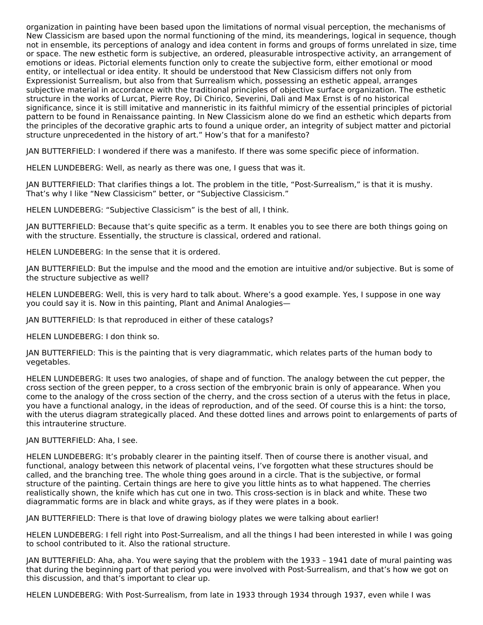organization in painting have been based upon the limitations of normal visual perception, the mechanisms of New Classicism are based upon the normal functioning of the mind, its meanderings, logical in sequence, though not in ensemble, its perceptions of analogy and idea content in forms and groups of forms unrelated in size, time or space. The new esthetic form is subjective, an ordered, pleasurable introspective activity, an arrangement of emotions or ideas. Pictorial elements function only to create the subjective form, either emotional or mood entity, or intellectual or idea entity. It should be understood that New Classicism differs not only from Expressionist Surrealism, but also from that Surrealism which, possessing an esthetic appeal, arranges subjective material in accordance with the traditional principles of objective surface organization. The esthetic structure in the works of Lurcat, Pierre Roy, Di Chirico, Severini, Dali and Max Ernst is of no historical significance, since it is still imitative and manneristic in its faithful mimicry of the essential principles of pictorial pattern to be found in Renaissance painting. In New Classicism alone do we find an esthetic which departs from the principles of the decorative graphic arts to found a unique order, an integrity of subject matter and pictorial structure unprecedented in the history of art." How's that for a manifesto?

JAN BUTTERFIELD: I wondered if there was a manifesto. If there was some specific piece of information.

HELEN LUNDEBERG: Well, as nearly as there was one, I guess that was it.

JAN BUTTERFIELD: That clarifies things a lot. The problem in the title, "Post-Surrealism," is that it is mushy. That's why I like "New Classicism" better, or "Subjective Classicism."

HELEN LUNDEBERG: "Subjective Classicism" is the best of all, I think.

JAN BUTTERFIELD: Because that's quite specific as a term. It enables you to see there are both things going on with the structure. Essentially, the structure is classical, ordered and rational.

HELEN LUNDEBERG: In the sense that it is ordered.

JAN BUTTERFIELD: But the impulse and the mood and the emotion are intuitive and/or subjective. But is some of the structure subjective as well?

HELEN LUNDEBERG: Well, this is very hard to talk about. Where's a good example. Yes, I suppose in one way you could say it is. Now in this painting, Plant and Animal Analogies—

JAN BUTTERFIELD: Is that reproduced in either of these catalogs?

HELEN LUNDEBERG: I don think so.

JAN BUTTERFIELD: This is the painting that is very diagrammatic, which relates parts of the human body to vegetables.

HELEN LUNDEBERG: It uses two analogies, of shape and of function. The analogy between the cut pepper, the cross section of the green pepper, to a cross section of the embryonic brain is only of appearance. When you come to the analogy of the cross section of the cherry, and the cross section of a uterus with the fetus in place, you have a functional analogy, in the ideas of reproduction, and of the seed. Of course this is a hint: the torso, with the uterus diagram strategically placed. And these dotted lines and arrows point to enlargements of parts of this intrauterine structure.

#### JAN BUTTERFIELD: Aha, I see.

HELEN LUNDEBERG: It's probably clearer in the painting itself. Then of course there is another visual, and functional, analogy between this network of placental veins, I've forgotten what these structures should be called, and the branching tree. The whole thing goes around in a circle. That is the subjective, or formal structure of the painting. Certain things are here to give you little hints as to what happened. The cherries realistically shown, the knife which has cut one in two. This cross-section is in black and white. These two diagrammatic forms are in black and white grays, as if they were plates in a book.

JAN BUTTERFIELD: There is that love of drawing biology plates we were talking about earlier!

HELEN LUNDEBERG: I fell right into Post-Surrealism, and all the things I had been interested in while I was going to school contributed to it. Also the rational structure.

JAN BUTTERFIELD: Aha, aha. You were saying that the problem with the 1933 – 1941 date of mural painting was that during the beginning part of that period you were involved with Post-Surrealism, and that's how we got on this discussion, and that's important to clear up.

HELEN LUNDEBERG: With Post-Surrealism, from late in 1933 through 1934 through 1937, even while I was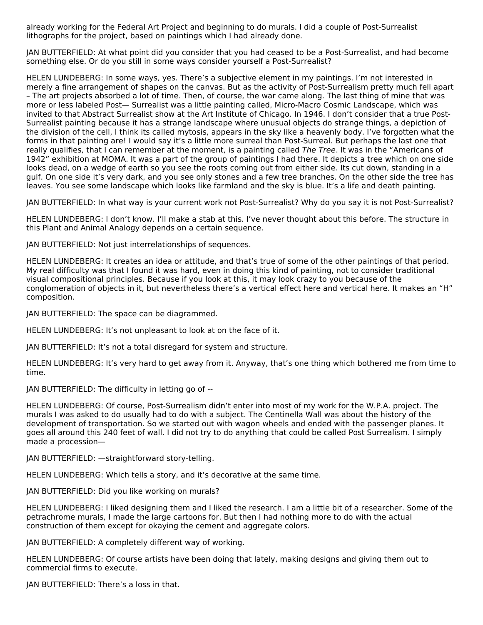already working for the Federal Art Project and beginning to do murals. I did a couple of Post-Surrealist lithographs for the project, based on paintings which I had already done.

JAN BUTTERFIELD: At what point did you consider that you had ceased to be a Post-Surrealist, and had become something else. Or do you still in some ways consider yourself a Post-Surrealist?

HELEN LUNDEBERG: In some ways, yes. There's a subjective element in my paintings. I'm not interested in merely a fine arrangement of shapes on the canvas. But as the activity of Post-Surrealism pretty much fell apart – The art projects absorbed a lot of time. Then, of course, the war came along. The last thing of mine that was more or less labeled Post— Surrealist was a little painting called, Micro-Macro Cosmic Landscape, which was invited to that Abstract Surrealist show at the Art Institute of Chicago. In 1946. I don't consider that a true Post-Surrealist painting because it has a strange landscape where unusual objects do strange things, a depiction of the division of the cell, I think its called mytosis, appears in the sky like a heavenly body. I've forgotten what the forms in that painting are! I would say it's a little more surreal than Post-Surreal. But perhaps the last one that really qualifies, that I can remember at the moment, is a painting called The Tree. It was in the "Americans of 1942" exhibition at MOMA. It was a part of the group of paintings I had there. It depicts a tree which on one side looks dead, on a wedge of earth so you see the roots coming out from either side. Its cut down, standing in a gulf. On one side it's very dark, and you see only stones and a few tree branches. On the other side the tree has leaves. You see some landscape which looks like farmland and the sky is blue. It's a life and death painting.

JAN BUTTERFIELD: In what way is your current work not Post-Surrealist? Why do you say it is not Post-Surrealist?

HELEN LUNDEBERG: I don't know. I'll make a stab at this. I've never thought about this before. The structure in this Plant and Animal Analogy depends on a certain sequence.

JAN BUTTERFIELD: Not just interrelationships of sequences.

HELEN LUNDEBERG: It creates an idea or attitude, and that's true of some of the other paintings of that period. My real difficulty was that I found it was hard, even in doing this kind of painting, not to consider traditional visual compositional principles. Because if you look at this, it may look crazy to you because of the conglomeration of objects in it, but nevertheless there's a vertical effect here and vertical here. It makes an "H" composition.

JAN BUTTERFIELD: The space can be diagrammed.

HELEN LUNDEBERG: It's not unpleasant to look at on the face of it.

JAN BUTTERFIELD: It's not a total disregard for system and structure.

HELEN LUNDEBERG: It's very hard to get away from it. Anyway, that's one thing which bothered me from time to time.

JAN BUTTERFIELD: The difficulty in letting go of --

HELEN LUNDEBERG: Of course, Post-Surrealism didn't enter into most of my work for the W.P.A. project. The murals I was asked to do usually had to do with a subject. The Centinella Wall was about the history of the development of transportation. So we started out with wagon wheels and ended with the passenger planes. It goes all around this 240 feet of wall. I did not try to do anything that could be called Post Surrealism. I simply made a procession—

JAN BUTTERFIELD: —straightforward story-telling.

HELEN LUNDEBERG: Which tells a story, and it's decorative at the same time.

JAN BUTTERFIELD: Did you like working on murals?

HELEN LUNDEBERG: I liked designing them and I liked the research. I am a little bit of a researcher. Some of the petrachrome murals, I made the large cartoons for. But then I had nothing more to do with the actual construction of them except for okaying the cement and aggregate colors.

JAN BUTTERFIELD: A completely different way of working.

HELEN LUNDEBERG: Of course artists have been doing that lately, making designs and giving them out to commercial firms to execute.

JAN BUTTERFIELD: There's a loss in that.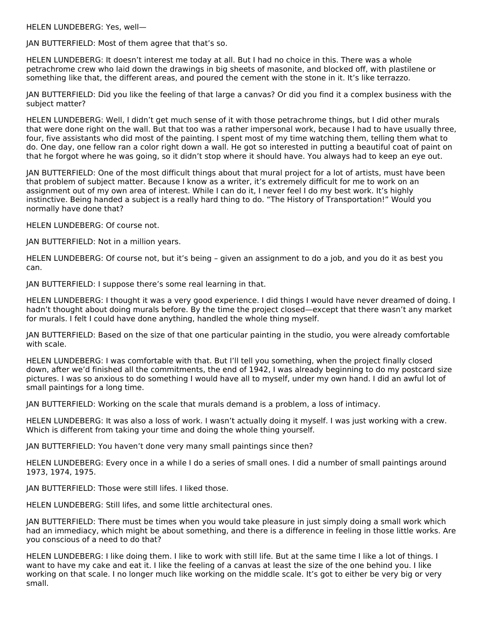HELEN LUNDEBERG: Yes, well—

JAN BUTTERFIELD: Most of them agree that that's so.

HELEN LUNDEBERG: It doesn't interest me today at all. But I had no choice in this. There was a whole petrachrome crew who laid down the drawings in big sheets of masonite, and blocked off, with plastilene or something like that, the different areas, and poured the cement with the stone in it. It's like terrazzo.

JAN BUTTERFIELD: Did you like the feeling of that large a canvas? Or did you find it a complex business with the subject matter?

HELEN LUNDEBERG: Well, I didn't get much sense of it with those petrachrome things, but I did other murals that were done right on the wall. But that too was a rather impersonal work, because I had to have usually three, four, five assistants who did most of the painting. I spent most of my time watching them, telling them what to do. One day, one fellow ran a color right down a wall. He got so interested in putting a beautiful coat of paint on that he forgot where he was going, so it didn't stop where it should have. You always had to keep an eye out.

JAN BUTTERFIELD: One of the most difficult things about that mural project for a lot of artists, must have been that problem of subject matter. Because I know as a writer, it's extremely difficult for me to work on an assignment out of my own area of interest. While I can do it, I never feel I do my best work. It's highly instinctive. Being handed a subject is a really hard thing to do. "The History of Transportation!" Would you normally have done that?

HELEN LUNDEBERG: Of course not.

JAN BUTTERFIELD: Not in a million years.

HELEN LUNDEBERG: Of course not, but it's being – given an assignment to do a job, and you do it as best you can.

JAN BUTTERFIELD: I suppose there's some real learning in that.

HELEN LUNDEBERG: I thought it was a very good experience. I did things I would have never dreamed of doing. I hadn't thought about doing murals before. By the time the project closed—except that there wasn't any market for murals. I felt I could have done anything, handled the whole thing myself.

JAN BUTTERFIELD: Based on the size of that one particular painting in the studio, you were already comfortable with scale.

HELEN LUNDEBERG: I was comfortable with that. But I'll tell you something, when the project finally closed down, after we'd finished all the commitments, the end of 1942, I was already beginning to do my postcard size pictures. I was so anxious to do something I would have all to myself, under my own hand. I did an awful lot of small paintings for a long time.

JAN BUTTERFIELD: Working on the scale that murals demand is a problem, a loss of intimacy.

HELEN LUNDEBERG: It was also a loss of work. I wasn't actually doing it myself. I was just working with a crew. Which is different from taking your time and doing the whole thing yourself.

JAN BUTTERFIELD: You haven't done very many small paintings since then?

HELEN LUNDEBERG: Every once in a while I do a series of small ones. I did a number of small paintings around 1973, 1974, 1975.

JAN BUTTERFIELD: Those were still lifes. I liked those.

HELEN LUNDEBERG: Still lifes, and some little architectural ones.

JAN BUTTERFIELD: There must be times when you would take pleasure in just simply doing a small work which had an immediacy, which might be about something, and there is a difference in feeling in those little works. Are you conscious of a need to do that?

HELEN LUNDEBERG: I like doing them. I like to work with still life. But at the same time I like a lot of things. I want to have my cake and eat it. I like the feeling of a canvas at least the size of the one behind you. I like working on that scale. I no longer much like working on the middle scale. It's got to either be very big or very small.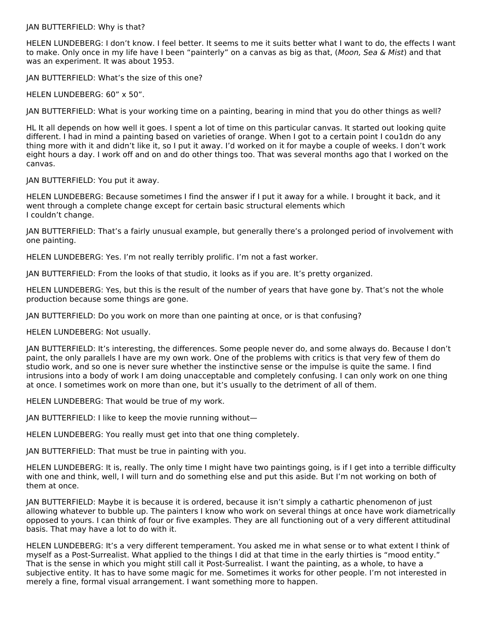JAN BUTTERFIELD: Why is that?

HELEN LUNDEBERG: I don't know. I feel better. It seems to me it suits better what I want to do, the effects I want to make. Only once in my life have I been "painterly" on a canvas as big as that, (Moon, Sea & Mist) and that was an experiment. It was about 1953.

JAN BUTTERFIELD: What's the size of this one?

HELEN LUNDEBERG: 60" x 50".

JAN BUTTERFIELD: What is your working time on a painting, bearing in mind that you do other things as well?

HL It all depends on how well it goes. I spent a lot of time on this particular canvas. It started out looking quite different. I had in mind a painting based on varieties of orange. When I got to a certain point I cou1dn do any thing more with it and didn't like it, so I put it away. I'd worked on it for maybe a couple of weeks. I don't work eight hours a day. I work off and on and do other things too. That was several months ago that I worked on the canvas.

JAN BUTTERFIELD: You put it away.

HELEN LUNDEBERG: Because sometimes I find the answer if I put it away for a while. I brought it back, and it went through a complete change except for certain basic structural elements which I couldn't change.

JAN BUTTERFIELD: That's a fairly unusual example, but generally there's a prolonged period of involvement with one painting.

HELEN LUNDEBERG: Yes. I'm not really terribly prolific. I'm not a fast worker.

JAN BUTTERFIELD: From the looks of that studio, it looks as if you are. It's pretty organized.

HELEN LUNDEBERG: Yes, but this is the result of the number of years that have gone by. That's not the whole production because some things are gone.

JAN BUTTERFIELD: Do you work on more than one painting at once, or is that confusing?

HELEN LUNDEBERG: Not usually.

JAN BUTTERFIELD: It's interesting, the differences. Some people never do, and some always do. Because I don't paint, the only parallels I have are my own work. One of the problems with critics is that very few of them do studio work, and so one is never sure whether the instinctive sense or the impulse is quite the same. I find intrusions into a body of work I am doing unacceptable and completely confusing. I can only work on one thing at once. I sometimes work on more than one, but it's usually to the detriment of all of them.

HELEN LUNDEBERG: That would be true of my work.

JAN BUTTERFIELD: I like to keep the movie running without—

HELEN LUNDEBERG: You really must get into that one thing completely.

JAN BUTTERFIELD: That must be true in painting with you.

HELEN LUNDEBERG: It is, really. The only time I might have two paintings going, is if I get into a terrible difficulty with one and think, well, I will turn and do something else and put this aside. But I'm not working on both of them at once.

JAN BUTTERFIELD: Maybe it is because it is ordered, because it isn't simply a cathartic phenomenon of just allowing whatever to bubble up. The painters I know who work on several things at once have work diametrically opposed to yours. I can think of four or five examples. They are all functioning out of a very different attitudinal basis. That may have a lot to do with it.

HELEN LUNDEBERG: It's a very different temperament. You asked me in what sense or to what extent I think of myself as a Post-Surrealist. What applied to the things I did at that time in the early thirties is "mood entity." That is the sense in which you might still call it Post-Surrealist. I want the painting, as a whole, to have a subjective entity. It has to have some magic for me. Sometimes it works for other people. I'm not interested in merely a fine, formal visual arrangement. I want something more to happen.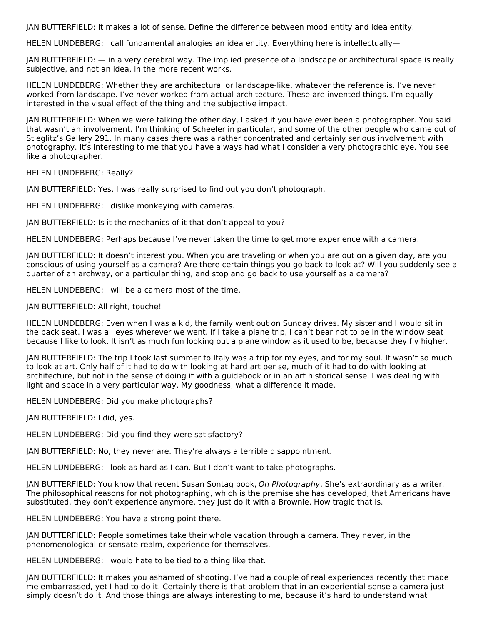JAN BUTTERFIELD: It makes a lot of sense. Define the difference between mood entity and idea entity.

HELEN LUNDEBERG: I call fundamental analogies an idea entity. Everything here is intellectually—

JAN BUTTERFIELD: — in a very cerebral way. The implied presence of a landscape or architectural space is really subjective, and not an idea, in the more recent works.

HELEN LUNDEBERG: Whether they are architectural or landscape-like, whatever the reference is. I've never worked from landscape. I've never worked from actual architecture. These are invented things. I'm equally interested in the visual effect of the thing and the subjective impact.

JAN BUTTERFIELD: When we were talking the other day, I asked if you have ever been a photographer. You said that wasn't an involvement. I'm thinking of Scheeler in particular, and some of the other people who came out of Stieglitz's Gallery 291. In many cases there was a rather concentrated and certainly serious involvement with photography. It's interesting to me that you have always had what I consider a very photographic eye. You see like a photographer.

HELEN LUNDEBERG: Really?

JAN BUTTERFIELD: Yes. I was really surprised to find out you don't photograph.

HELEN LUNDEBERG: I dislike monkeying with cameras.

JAN BUTTERFIELD: Is it the mechanics of it that don't appeal to you?

HELEN LUNDEBERG: Perhaps because I've never taken the time to get more experience with a camera.

JAN BUTTERFIELD: It doesn't interest you. When you are traveling or when you are out on a given day, are you conscious of using yourself as a camera? Are there certain things you go back to look at? Will you suddenly see a quarter of an archway, or a particular thing, and stop and go back to use yourself as a camera?

HELEN LUNDEBERG: I will be a camera most of the time.

JAN BUTTERFIELD: All right, touche!

HELEN LUNDEBERG: Even when I was a kid, the family went out on Sunday drives. My sister and I would sit in the back seat. I was all eyes wherever we went. If I take a plane trip, I can't bear not to be in the window seat because I like to look. It isn't as much fun looking out a plane window as it used to be, because they fly higher.

JAN BUTTERFIELD: The trip I took last summer to Italy was a trip for my eyes, and for my soul. It wasn't so much to look at art. Only half of it had to do with looking at hard art per se, much of it had to do with looking at architecture, but not in the sense of doing it with a guidebook or in an art historical sense. I was dealing with light and space in a very particular way. My goodness, what a difference it made.

HELEN LUNDEBERG: Did you make photographs?

JAN BUTTERFIELD: I did, yes.

HELEN LUNDEBERG: Did you find they were satisfactory?

JAN BUTTERFIELD: No, they never are. They're always a terrible disappointment.

HELEN LUNDEBERG: I look as hard as I can. But I don't want to take photographs.

JAN BUTTERFIELD: You know that recent Susan Sontag book, On Photography. She's extraordinary as a writer. The philosophical reasons for not photographing, which is the premise she has developed, that Americans have substituted, they don't experience anymore, they just do it with a Brownie. How tragic that is.

HELEN LUNDEBERG: You have a strong point there.

JAN BUTTERFIELD: People sometimes take their whole vacation through a camera. They never, in the phenomenological or sensate realm, experience for themselves.

HELEN LUNDEBERG: I would hate to be tied to a thing like that.

JAN BUTTERFIELD: It makes you ashamed of shooting. I've had a couple of real experiences recently that made me embarrassed, yet I had to do it. Certainly there is that problem that in an experiential sense a camera just simply doesn't do it. And those things are always interesting to me, because it's hard to understand what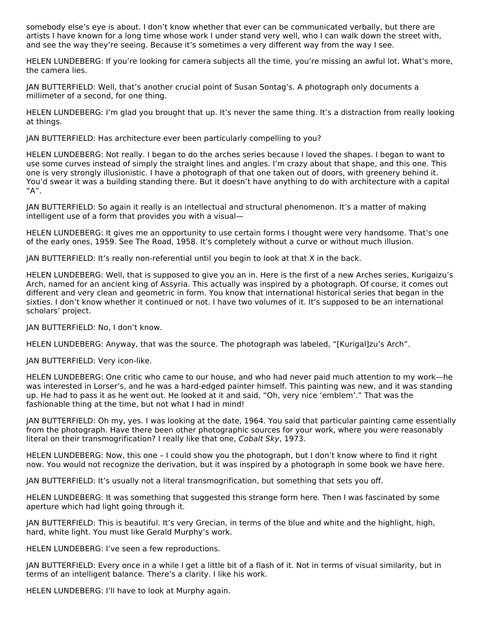somebody else's eye is about. I don't know whether that ever can be communicated verbally, but there are artists I have known for a long time whose work I under stand very well, who I can walk down the street with, and see the way they're seeing. Because it's sometimes a very different way from the way I see.

HELEN LUNDEBERG: If you're looking for camera subjects all the time, you're missing an awful lot. What's more, the camera lies.

JAN BUTTERFIELD: Well, that's another crucial point of Susan Sontag's. A photograph only documents a millimeter of a second, for one thing.

HELEN LUNDEBERG: I'm glad you brought that up. It's never the same thing. It's a distraction from really looking at things.

JAN BUTTERFIELD: Has architecture ever been particularly compelling to you?

HELEN LUNDEBERG: Not really. I began to do the arches series because I loved the shapes. I began to want to use some curves instead of simply the straight lines and angles. I'm crazy about that shape, and this one. This one is very strongly illusionistic. I have a photograph of that one taken out of doors, with greenery behind it. You'd swear it was a building standing there. But it doesn't have anything to do with architecture with a capital "A".

JAN BUTTERFIELD: So again it really is an intellectual and structural phenomenon. It's a matter of making intelligent use of a form that provides you with a visual—

HELEN LUNDEBERG: It gives me an opportunity to use certain forms I thought were very handsome. That's one of the early ones, 1959. See The Road, 1958. It's completely without a curve or without much illusion.

JAN BUTTERFIELD: It's really non-referential until you begin to look at that X in the back.

HELEN LUNDEBERG: Well, that is supposed to give you an in. Here is the first of a new Arches series, Kurigaizu's Arch, named for an ancient king of Assyria. This actually was inspired by a photograph. Of course, it comes out different and very clean and geometric in form. You know that international historical series that began in the sixties. I don't know whether it continued or not. I have two volumes of it. It's supposed to be an international scholars' project.

JAN BUTTERFIELD: No, I don't know.

HELEN LUNDEBERG: Anyway, that was the source. The photograph was labeled, "[Kurigal]zu's Arch".

JAN BUTTERFIELD: Very icon-like.

HELEN LUNDEBERG: One critic who came to our house, and who had never paid much attention to my work—he was interested in Lorser's, and he was a hard-edged painter himself. This painting was new, and it was standing up. He had to pass it as he went out. He looked at it and said, "Oh, very nice 'emblem'." That was the fashionable thing at the time, but not what I had in mind!

JAN BUTTERFIELD: Oh my, yes. I was looking at the date, 1964. You said that particular painting came essentially from the photograph. Have there been other photographic sources for your work, where you were reasonably literal on their transmogrification? I really like that one, Cobalt Sky, 1973.

HELEN LUNDEBERG: Now, this one – I could show you the photograph, but I don't know where to find it right now. You would not recognize the derivation, but it was inspired by a photograph in some book we have here.

JAN BUTTERFIELD: It's usually not a literal transmogrification, but something that sets you off.

HELEN LUNDEBERG: It was something that suggested this strange form here. Then I was fascinated by some aperture which had light going through it.

JAN BUTTERFIELD: This is beautiful. It's very Grecian, in terms of the blue and white and the highlight, high, hard, white light. You must like Gerald Murphy's work.

HELEN LUNDEBERG: I've seen a few reproductions.

JAN BUTTERFIELD: Every once in a while I get a little bit of a flash of it. Not in terms of visual similarity, but in terms of an intelligent balance. There's a clarity. I like his work.

HELEN LUNDEBERG: I'll have to look at Murphy again.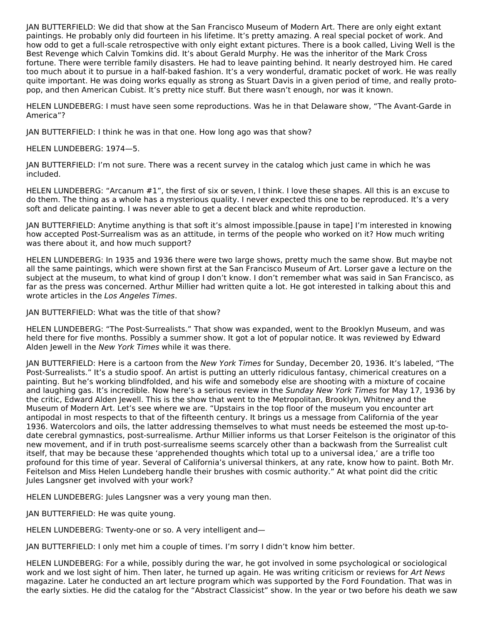JAN BUTTERFIELD: We did that show at the San Francisco Museum of Modern Art. There are only eight extant paintings. He probably only did fourteen in his lifetime. It's pretty amazing. A real special pocket of work. And how odd to get a full-scale retrospective with only eight extant pictures. There is a book called, Living Well is the Best Revenge which Calvin Tomkins did. It's about Gerald Murphy. He was the inheritor of the Mark Cross fortune. There were terrible family disasters. He had to leave painting behind. It nearly destroyed him. He cared too much about it to pursue in a half-baked fashion. It's a very wonderful, dramatic pocket of work. He was really quite important. He was doing works equally as strong as Stuart Davis in a given period of time, and really protopop, and then American Cubist. It's pretty nice stuff. But there wasn't enough, nor was it known.

HELEN LUNDEBERG: I must have seen some reproductions. Was he in that Delaware show, "The Avant-Garde in America"?

JAN BUTTERFIELD: I think he was in that one. How long ago was that show?

HELEN LUNDEBERG: 1974—5.

JAN BUTTERFIELD: I'm not sure. There was a recent survey in the catalog which just came in which he was included.

HELEN LUNDEBERG: "Arcanum #1", the first of six or seven, I think. I love these shapes. All this is an excuse to do them. The thing as a whole has a mysterious quality. I never expected this one to be reproduced. It's a very soft and delicate painting. I was never able to get a decent black and white reproduction.

JAN BUTTERFIELD: Anytime anything is that soft it's almost impossible.[pause in tape] I'm interested in knowing how accepted Post-Surrealism was as an attitude, in terms of the people who worked on it? How much writing was there about it, and how much support?

HELEN LUNDEBERG: In 1935 and 1936 there were two large shows, pretty much the same show. But maybe not all the same paintings, which were shown first at the San Francisco Museum of Art. Lorser gave a lecture on the subject at the museum, to what kind of group I don't know. I don't remember what was said in San Francisco, as far as the press was concerned. Arthur Millier had written quite a lot. He got interested in talking about this and wrote articles in the Los Angeles Times.

JAN BUTTERFIELD: What was the title of that show?

HELEN LUNDEBERG: "The Post-Surrealists." That show was expanded, went to the Brooklyn Museum, and was held there for five months. Possibly a summer show. It got a lot of popular notice. It was reviewed by Edward Alden Jewell in the New York Times while it was there.

JAN BUTTERFIELD: Here is a cartoon from the New York Times for Sunday, December 20, 1936. It's labeled, "The Post-Surrealists." It's a studio spoof. An artist is putting an utterly ridiculous fantasy, chimerical creatures on a painting. But he's working blindfolded, and his wife and somebody else are shooting with a mixture of cocaine and laughing gas. It's incredible. Now here's a serious review in the Sunday New York Times for May 17, 1936 by the critic, Edward Alden Jewell. This is the show that went to the Metropolitan, Brooklyn, Whitney and the Museum of Modern Art. Let's see where we are. "Upstairs in the top floor of the museum you encounter art antipodal in most respects to that of the fifteenth century. It brings us a message from California of the year 1936. Watercolors and oils, the latter addressing themselves to what must needs be esteemed the most up-todate cerebral gymnastics, post-surrealisme. Arthur Millier informs us that Lorser Feitelson is the originator of this new movement, and if in truth post-surrealisme seems scarcely other than a backwash from the Surrealist cult itself, that may be because these 'apprehended thoughts which total up to a universal idea,' are a trifle too profound for this time of year. Several of California's universal thinkers, at any rate, know how to paint. Both Mr. Feitelson and Miss Helen Lundeberg handle their brushes with cosmic authority." At what point did the critic Jules Langsner get involved with your work?

HELEN LUNDEBERG: Jules Langsner was a very young man then.

JAN BUTTERFIELD: He was quite young.

HELEN LUNDEBERG: Twenty-one or so. A very intelligent and—

JAN BUTTERFIELD: I only met him a couple of times. I'm sorry I didn't know him better.

HELEN LUNDEBERG: For a while, possibly during the war, he got involved in some psychological or sociological work and we lost sight of him. Then later, he turned up again. He was writing criticism or reviews for Art News magazine. Later he conducted an art lecture program which was supported by the Ford Foundation. That was in the early sixties. He did the catalog for the "Abstract Classicist" show. In the year or two before his death we saw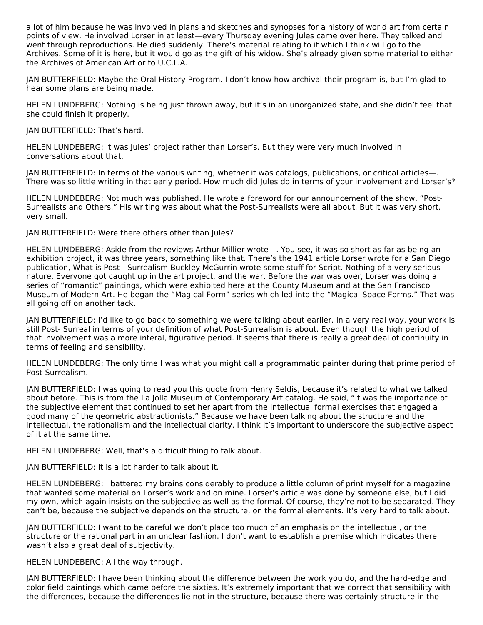a lot of him because he was involved in plans and sketches and synopses for a history of world art from certain points of view. He involved Lorser in at least—every Thursday evening Jules came over here. They talked and went through reproductions. He died suddenly. There's material relating to it which I think will go to the Archives. Some of it is here, but it would go as the gift of his widow. She's already given some material to either the Archives of American Art or to U.C.L.A.

JAN BUTTERFIELD: Maybe the Oral History Program. I don't know how archival their program is, but I'm glad to hear some plans are being made.

HELEN LUNDEBERG: Nothing is being just thrown away, but it's in an unorganized state, and she didn't feel that she could finish it properly.

JAN BUTTERFIELD: That's hard.

HELEN LUNDEBERG: It was Jules' project rather than Lorser's. But they were very much involved in conversations about that.

JAN BUTTERFIELD: In terms of the various writing, whether it was catalogs, publications, or critical articles—. There was so little writing in that early period. How much did Jules do in terms of your involvement and Lorser's?

HELEN LUNDEBERG: Not much was published. He wrote a foreword for our announcement of the show, "Post-Surrealists and Others." His writing was about what the Post-Surrealists were all about. But it was very short, very small.

JAN BUTTERFIELD: Were there others other than Jules?

HELEN LUNDEBERG: Aside from the reviews Arthur Millier wrote—. You see, it was so short as far as being an exhibition project, it was three years, something like that. There's the 1941 article Lorser wrote for a San Diego publication, What is Post—Surrealism Buckley McGurrin wrote some stuff for Script. Nothing of a very serious nature. Everyone got caught up in the art project, and the war. Before the war was over, Lorser was doing a series of "romantic" paintings, which were exhibited here at the County Museum and at the San Francisco Museum of Modern Art. He began the "Magical Form" series which led into the "Magical Space Forms." That was all going off on another tack.

JAN BUTTERFIELD: I'd like to go back to something we were talking about earlier. In a very real way, your work is still Post- Surreal in terms of your definition of what Post-Surrealism is about. Even though the high period of that involvement was a more interal, figurative period. It seems that there is really a great deal of continuity in terms of feeling and sensibility.

HELEN LUNDEBERG: The only time I was what you might call a programmatic painter during that prime period of Post-Surrealism.

JAN BUTTERFIELD: I was going to read you this quote from Henry Seldis, because it's related to what we talked about before. This is from the La Jolla Museum of Contemporary Art catalog. He said, "It was the importance of the subjective element that continued to set her apart from the intellectual formal exercises that engaged a good many of the geometric abstractionists." Because we have been talking about the structure and the intellectual, the rationalism and the intellectual clarity, I think it's important to underscore the subjective aspect of it at the same time.

HELEN LUNDEBERG: Well, that's a difficult thing to talk about.

JAN BUTTERFIELD: It is a lot harder to talk about it.

HELEN LUNDEBERG: I battered my brains considerably to produce a little column of print myself for a magazine that wanted some material on Lorser's work and on mine. Lorser's article was done by someone else, but I did my own, which again insists on the subjective as well as the formal. Of course, they're not to be separated. They can't be, because the subjective depends on the structure, on the formal elements. It's very hard to talk about.

JAN BUTTERFIELD: I want to be careful we don't place too much of an emphasis on the intellectual, or the structure or the rational part in an unclear fashion. I don't want to establish a premise which indicates there wasn't also a great deal of subjectivity.

HELEN LUNDEBERG: All the way through.

JAN BUTTERFIELD: I have been thinking about the difference between the work you do, and the hard-edge and color field paintings which came before the sixties. It's extremely important that we correct that sensibility with the differences, because the differences lie not in the structure, because there was certainly structure in the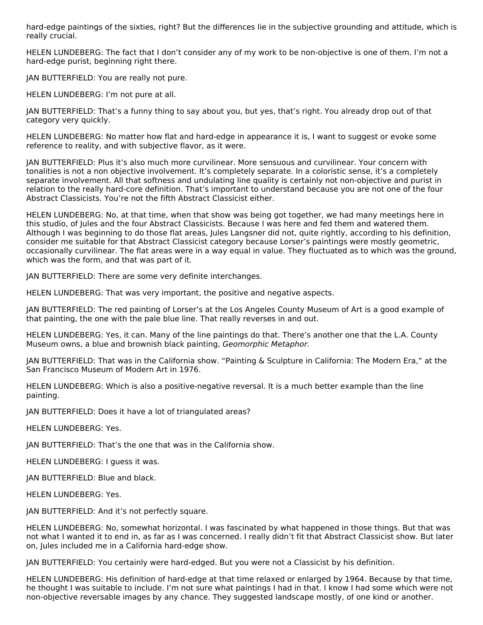hard-edge paintings of the sixties, right? But the differences lie in the subjective grounding and attitude, which is really crucial.

HELEN LUNDEBERG: The fact that I don't consider any of my work to be non-objective is one of them. I'm not a hard-edge purist, beginning right there.

JAN BUTTERFIELD: You are really not pure.

HELEN LUNDEBERG: I'm not pure at all.

JAN BUTTERFIELD: That's a funny thing to say about you, but yes, that's right. You already drop out of that category very quickly.

HELEN LUNDEBERG: No matter how flat and hard-edge in appearance it is, I want to suggest or evoke some reference to reality, and with subjective flavor, as it were.

JAN BUTTERFIELD: Plus it's also much more curvilinear. More sensuous and curvilinear. Your concern with tonalities is not a non objective involvement. It's completely separate. In a coloristic sense, it's a completely separate involvement. All that softness and undulating line quality is certainly not non-objective and purist in relation to the really hard-core definition. That's important to understand because you are not one of the four Abstract Classicists. You're not the fifth Abstract Classicist either.

HELEN LUNDEBERG: No, at that time, when that show was being got together, we had many meetings here in this studio, of Jules and the four Abstract Classicists. Because I was here and fed them and watered them. Although I was beginning to do those flat areas, Jules Langsner did not, quite rightly, according to his definition, consider me suitable for that Abstract Classicist category because Lorser's paintings were mostly geometric, occasionally curvilinear. The flat areas were in a way equal in value. They fluctuated as to which was the ground, which was the form, and that was part of it.

JAN BUTTERFIELD: There are some very definite interchanges.

HELEN LUNDEBERG: That was very important, the positive and negative aspects.

JAN BUTTERFIELD: The red painting of Lorser's at the Los Angeles County Museum of Art is a good example of that painting, the one with the pale blue line. That really reverses in and out.

HELEN LUNDEBERG: Yes, it can. Many of the line paintings do that. There's another one that the L.A. County Museum owns, a blue and brownish black painting, Geomorphic Metaphor.

JAN BUTTERFIELD: That was in the California show. "Painting & Sculpture in California: The Modern Era," at the San Francisco Museum of Modern Art in 1976.

HELEN LUNDEBERG: Which is also a positive-negative reversal. It is a much better example than the line painting.

JAN BUTTERFIELD: Does it have a lot of triangulated areas?

HELEN LUNDEBERG: Yes.

JAN BUTTERFIELD: That's the one that was in the California show.

HELEN LUNDEBERG: I guess it was.

JAN BUTTERFIELD: Blue and black.

HELEN LUNDEBERG: Yes.

JAN BUTTERFIELD: And it's not perfectly square.

HELEN LUNDEBERG: No, somewhat horizontal. I was fascinated by what happened in those things. But that was not what I wanted it to end in, as far as I was concerned. I really didn't fit that Abstract Classicist show. But later on, Jules included me in a California hard-edge show.

JAN BUTTERFIELD: You certainly were hard-edged. But you were not a Classicist by his definition.

HELEN LUNDEBERG: His definition of hard-edge at that time relaxed or enlarged by 1964. Because by that time, he thought I was suitable to include. I'm not sure what paintings I had in that. I know I had some which were not non-objective reversable images by any chance. They suggested landscape mostly, of one kind or another.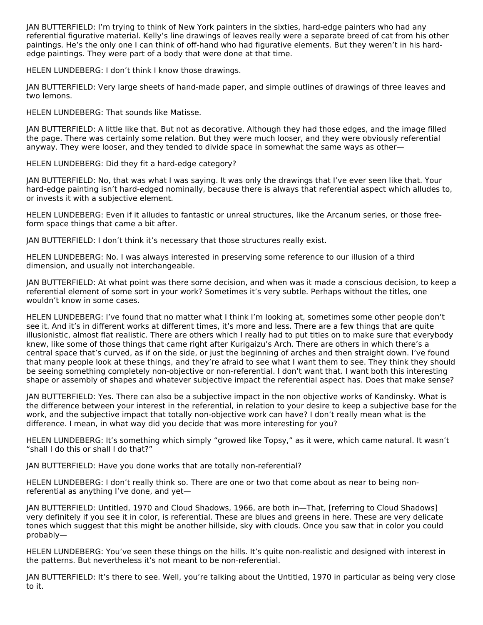JAN BUTTERFIELD: I'm trying to think of New York painters in the sixties, hard-edge painters who had any referential figurative material. Kelly's line drawings of leaves really were a separate breed of cat from his other paintings. He's the only one I can think of off-hand who had figurative elements. But they weren't in his hardedge paintings. They were part of a body that were done at that time.

HELEN LUNDEBERG: I don't think I know those drawings.

JAN BUTTERFIELD: Very large sheets of hand-made paper, and simple outlines of drawings of three leaves and two lemons.

HELEN LUNDEBERG: That sounds like Matisse.

JAN BUTTERFIELD: A little like that. But not as decorative. Although they had those edges, and the image filled the page. There was certainly some relation. But they were much looser, and they were obviously referential anyway. They were looser, and they tended to divide space in somewhat the same ways as other—

HELEN LUNDEBERG: Did they fit a hard-edge category?

JAN BUTTERFIELD: No, that was what I was saying. It was only the drawings that I've ever seen like that. Your hard-edge painting isn't hard-edged nominally, because there is always that referential aspect which alludes to, or invests it with a subjective element.

HELEN LUNDEBERG: Even if it alludes to fantastic or unreal structures, like the Arcanum series, or those freeform space things that came a bit after.

JAN BUTTERFIELD: I don't think it's necessary that those structures really exist.

HELEN LUNDEBERG: No. I was always interested in preserving some reference to our illusion of a third dimension, and usually not interchangeable.

JAN BUTTERFIELD: At what point was there some decision, and when was it made a conscious decision, to keep a referential element of some sort in your work? Sometimes it's very subtle. Perhaps without the titles, one wouldn't know in some cases.

HELEN LUNDEBERG: I've found that no matter what I think I'm looking at, sometimes some other people don't see it. And it's in different works at different times, it's more and less. There are a few things that are quite illusionistic, almost flat realistic. There are others which I really had to put titles on to make sure that everybody knew, like some of those things that came right after Kurigaizu's Arch. There are others in which there's a central space that's curved, as if on the side, or just the beginning of arches and then straight down. I've found that many people look at these things, and they're afraid to see what I want them to see. They think they should be seeing something completely non-objective or non-referential. I don't want that. I want both this interesting shape or assembly of shapes and whatever subjective impact the referential aspect has. Does that make sense?

JAN BUTTERFIELD: Yes. There can also be a subjective impact in the non objective works of Kandinsky. What is the difference between your interest in the referential, in relation to your desire to keep a subjective base for the work, and the subjective impact that totally non-objective work can have? I don't really mean what is the difference. I mean, in what way did you decide that was more interesting for you?

HELEN LUNDEBERG: It's something which simply "growed like Topsy," as it were, which came natural. It wasn't "shall I do this or shall I do that?"

JAN BUTTERFIELD: Have you done works that are totally non-referential?

HELEN LUNDEBERG: I don't really think so. There are one or two that come about as near to being nonreferential as anything I've done, and yet—

JAN BUTTERFIELD: Untitled, 1970 and Cloud Shadows, 1966, are both in—That, [referring to Cloud Shadows] very definitely if you see it in color, is referential. These are blues and greens in here. These are very delicate tones which suggest that this might be another hillside, sky with clouds. Once you saw that in color you could probably—

HELEN LUNDEBERG: You've seen these things on the hills. It's quite non-realistic and designed with interest in the patterns. But nevertheless it's not meant to be non-referential.

JAN BUTTERFIELD: It's there to see. Well, you're talking about the Untitled, 1970 in particular as being very close to it.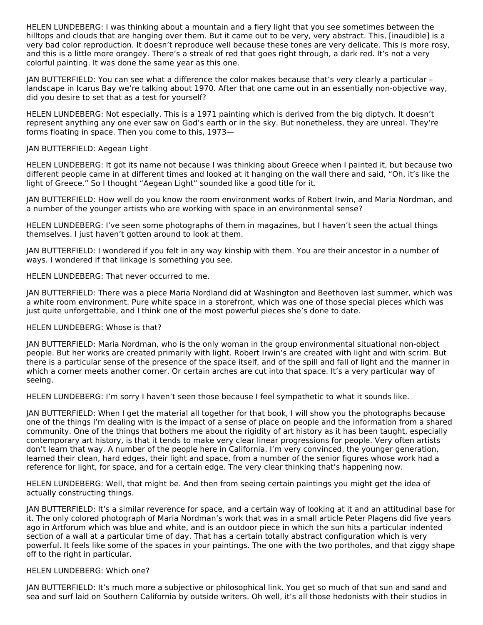HELEN LUNDEBERG: I was thinking about a mountain and a fiery light that you see sometimes between the hilltops and clouds that are hanging over them. But it came out to be very, very abstract. This, [inaudible] is a very bad color reproduction. It doesn't reproduce well because these tones are very delicate. This is more rosy, and this is a little more orangey. There's a streak of red that goes right through, a dark red. It's not a very colorful painting. It was done the same year as this one.

JAN BUTTERFIELD: You can see what a difference the color makes because that's very clearly a particular – landscape in Icarus Bay we're talking about 1970. After that one came out in an essentially non-objective way, did you desire to set that as a test for yourself?

HELEN LUNDEBERG: Not especially. This is a 1971 painting which is derived from the big diptych. It doesn't represent anything any one ever saw on God's earth or in the sky. But nonetheless, they are unreal. They're forms floating in space. Then you come to this, 1973—

#### JAN BUTTERFIELD: Aegean Light

HELEN LUNDEBERG: It got its name not because I was thinking about Greece when I painted it, but because two different people came in at different times and looked at it hanging on the wall there and said, "Oh, it's like the light of Greece." So I thought "Aegean Light" sounded like a good title for it.

JAN BUTTERFIELD: How well do you know the room environment works of Robert Irwin, and Maria Nordman, and a number of the younger artists who are working with space in an environmental sense?

HELEN LUNDEBERG: I've seen some photographs of them in magazines, but I haven't seen the actual things themselves. I just haven't gotten around to look at them.

JAN BUTTERFIELD: I wondered if you felt in any way kinship with them. You are their ancestor in a number of ways. I wondered if that linkage is something you see.

HELEN LUNDEBERG: That never occurred to me.

JAN BUTTERFIELD: There was a piece Maria Nordland did at Washington and Beethoven last summer, which was a white room environment. Pure white space in a storefront, which was one of those special pieces which was just quite unforgettable, and I think one of the most powerful pieces she's done to date.

#### HELEN LUNDEBERG: Whose is that?

JAN BUTTERFIELD: Maria Nordman, who is the only woman in the group environmental situational non-object people. But her works are created primarily with light. Robert Irwin's are created with light and with scrim. But there is a particular sense of the presence of the space itself, and of the spill and fall of light and the manner in which a corner meets another corner. Or certain arches are cut into that space. It's a very particular way of seeing.

HELEN LUNDEBERG: I'm sorry I haven't seen those because I feel sympathetic to what it sounds like.

JAN BUTTERFIELD: When I get the material all together for that book, I will show you the photographs because one of the things I'm dealing with is the impact of a sense of place on people and the information from a shared community. One of the things that bothers me about the rigidity of art history as it has been taught, especially contemporary art history, is that it tends to make very clear linear progressions for people. Very often artists don't learn that way. A number of the people here in California, I'm very convinced, the younger generation, learned their clean, hard edges, their light and space, from a number of the senior figures whose work had a reference for light, for space, and for a certain edge. The very clear thinking that's happening now.

HELEN LUNDEBERG: Well, that might be. And then from seeing certain paintings you might get the idea of actually constructing things.

JAN BUTTERFIELD: It's a similar reverence for space, and a certain way of looking at it and an attitudinal base for it. The only colored photograph of Maria Nordman's work that was in a small article Peter Plagens did five years ago in Artforum which was blue and white, and is an outdoor piece in which the sun hits a particular indented section of a wall at a particular time of day. That has a certain totally abstract configuration which is very powerful. It feels like some of the spaces in your paintings. The one with the two portholes, and that ziggy shape off to the right in particular.

#### HELEN LUNDEBERG: Which one?

JAN BUTTERFIELD: It's much more a subjective or philosophical link. You get so much of that sun and sand and sea and surf laid on Southern California by outside writers. Oh well, it's all those hedonists with their studios in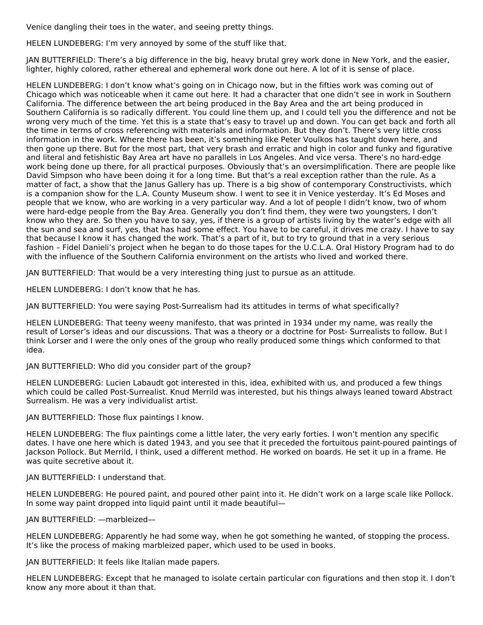Venice dangling their toes in the water, and seeing pretty things.

HELEN LUNDEBERG: I'm very annoyed by some of the stuff like that.

JAN BUTTERFIELD: There's a big difference in the big, heavy brutal grey work done in New York, and the easier, lighter, highly colored, rather ethereal and ephemeral work done out here. A lot of it is sense of place.

HELEN LUNDEBERG: I don't know what's going on in Chicago now, but in the fifties work was coming out of Chicago which was noticeable when it came out here. It had a character that one didn't see in work in Southern California. The difference between the art being produced in the Bay Area and the art being produced in Southern California is so radically different. You could line them up, and I could tell you the difference and not be wrong very much of the time. Yet this is a state that's easy to travel up and down. You can get back and forth all the time in terms of cross referencing with materials and information. But they don't. There's very little cross information in the work. Where there has been, it's something like Peter Voulkos has taught down here, and then gone up there. But for the most part, that very brash and erratic and high in color and funky and figurative and literal and fetishistic Bay Area art have no parallels in Los Angeles. And vice versa. There's no hard-edge work being done up there, for all practical purposes. Obviously that's an oversimplification. There are people like David Simpson who have been doing it for a long time. But that's a real exception rather than the rule. As a matter of fact, a show that the Janus Gallery has up. There is a big show of contemporary Constructivists, which is a companion show for the L.A. County Museum show. I went to see it in Venice yesterday. It's Ed Moses and people that we know, who are working in a very particular way. And a lot of people I didn't know, two of whom were hard-edge people from the Bay Area. Generally you don't find them, they were two youngsters, I don't know who they are. So then you have to say, yes, if there is a group of artists living by the water's edge with all the sun and sea and surf, yes, that has had some effect. You have to be careful, it drives me crazy. I have to say that because I know it has changed the work. That's a part of it, but to try to ground that in a very serious fashion – Fidel Danieli's project when he began to do those tapes for the U.C.L.A. Oral History Program had to do with the influence of the Southern California environment on the artists who lived and worked there.

JAN BUTTERFIELD: That would be a very interesting thing just to pursue as an attitude.

HELEN LUNDEBERG: I don't know that he has.

JAN BUTTERFIELD: You were saying Post-Surrealism had its attitudes in terms of what specifically?

HELEN LUNDEBERG: That teeny weeny manifesto, that was printed in 1934 under my name, was really the result of Lorser's ideas and our discussions. That was a theory or a doctrine for Post- Surrealists to follow. But I think Lorser and I were the only ones of the group who really produced some things which conformed to that idea.

JAN BUTTERFIELD: Who did you consider part of the group?

HELEN LUNDEBERG: Lucien Labaudt got interested in this, idea, exhibited with us, and produced a few things which could be called Post-Surrealist. Knud Merrild was interested, but his things always leaned toward Abstract Surrealism. He was a very individualist artist.

JAN BUTTERFIELD: Those flux paintings I know.

HELEN LUNDEBERG: The flux paintings come a little later, the very early forties. I won't mention any specific dates. I have one here which is dated 1943, and you see that it preceded the fortuitous paint-poured paintings of Jackson Pollock. But Merrild, I think, used a different method. He worked on boards. He set it up in a frame. He was quite secretive about it.

JAN BUTTERFIELD: I understand that.

HELEN LUNDEBERG: He poured paint, and poured other paint into it. He didn't work on a large scale like Pollock. In some way paint dropped into liquid paint until it made beautiful—

JAN BUTTERFIELD: —marbleized—

HELEN LUNDEBERG: Apparently he had some way, when he got something he wanted, of stopping the process. It's like the process of making marbleized paper, which used to be used in books.

JAN BUTTERFIELD: It feels like Italian made papers.

HELEN LUNDEBERG: Except that he managed to isolate certain particular con figurations and then stop it. I don't know any more about it than that.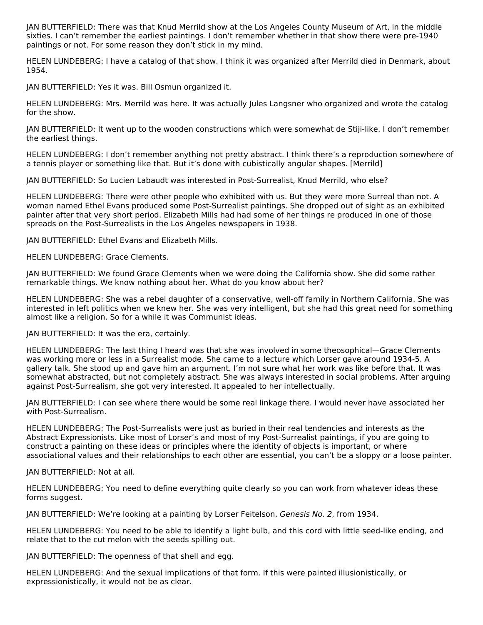JAN BUTTERFIELD: There was that Knud Merrild show at the Los Angeles County Museum of Art, in the middle sixties. I can't remember the earliest paintings. I don't remember whether in that show there were pre-1940 paintings or not. For some reason they don't stick in my mind.

HELEN LUNDEBERG: I have a catalog of that show. I think it was organized after Merrild died in Denmark, about 1954.

JAN BUTTERFIELD: Yes it was. Bill Osmun organized it.

HELEN LUNDEBERG: Mrs. Merrild was here. It was actually Jules Langsner who organized and wrote the catalog for the show.

JAN BUTTERFIELD: It went up to the wooden constructions which were somewhat de Stiji-like. I don't remember the earliest things.

HELEN LUNDEBERG: I don't remember anything not pretty abstract. I think there's a reproduction somewhere of a tennis player or something like that. But it's done with cubistically angular shapes. [Merrild]

JAN BUTTERFIELD: So Lucien Labaudt was interested in Post-Surrealist, Knud Merrild, who else?

HELEN LUNDEBERG: There were other people who exhibited with us. But they were more Surreal than not. A woman named Ethel Evans produced some Post-Surrealist paintings. She dropped out of sight as an exhibited painter after that very short period. Elizabeth Mills had had some of her things re produced in one of those spreads on the Post-Surrealists in the Los Angeles newspapers in 1938.

JAN BUTTERFIELD: Ethel Evans and Elizabeth Mills.

HELEN LUNDEBERG: Grace Clements.

JAN BUTTERFIELD: We found Grace Clements when we were doing the California show. She did some rather remarkable things. We know nothing about her. What do you know about her?

HELEN LUNDEBERG: She was a rebel daughter of a conservative, well-off family in Northern California. She was interested in left politics when we knew her. She was very intelligent, but she had this great need for something almost like a religion. So for a while it was Communist ideas.

JAN BUTTERFIELD: It was the era, certainly.

HELEN LUNDEBERG: The last thing I heard was that she was involved in some theosophical—Grace Clements was working more or less in a Surrealist mode. She came to a lecture which Lorser gave around 1934-5. A gallery talk. She stood up and gave him an argument. I'm not sure what her work was like before that. It was somewhat abstracted, but not completely abstract. She was always interested in social problems. After arguing against Post-Surrealism, she got very interested. It appealed to her intellectually.

JAN BUTTERFIELD: I can see where there would be some real linkage there. I would never have associated her with Post-Surrealism.

HELEN LUNDEBERG: The Post-Surrealists were just as buried in their real tendencies and interests as the Abstract Expressionists. Like most of Lorser's and most of my Post-Surrealist paintings, if you are going to construct a painting on these ideas or principles where the identity of objects is important, or where associational values and their relationships to each other are essential, you can't be a sloppy or a loose painter.

JAN BUTTERFIELD: Not at all.

HELEN LUNDEBERG: You need to define everything quite clearly so you can work from whatever ideas these forms suggest.

JAN BUTTERFIELD: We're looking at a painting by Lorser Feitelson, Genesis No. 2, from 1934.

HELEN LUNDEBERG: You need to be able to identify a light bulb, and this cord with little seed-like ending, and relate that to the cut melon with the seeds spilling out.

JAN BUTTERFIELD: The openness of that shell and egg.

HELEN LUNDEBERG: And the sexual implications of that form. If this were painted illusionistically, or expressionistically, it would not be as clear.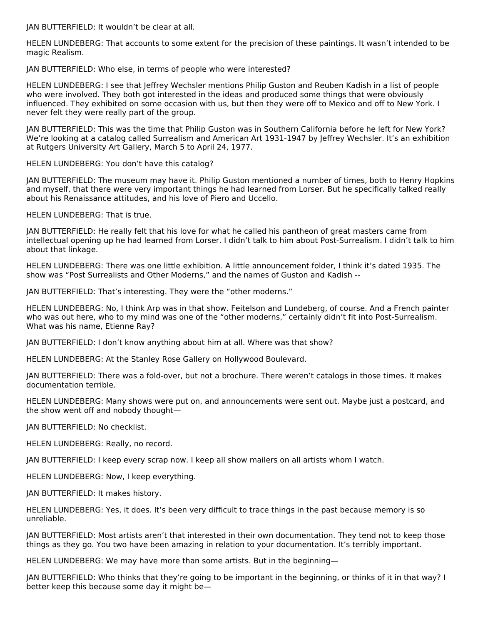JAN BUTTERFIELD: It wouldn't be clear at all.

HELEN LUNDEBERG: That accounts to some extent for the precision of these paintings. It wasn't intended to be magic Realism.

JAN BUTTERFIELD: Who else, in terms of people who were interested?

HELEN LUNDEBERG: I see that Jeffrey Wechsler mentions Philip Guston and Reuben Kadish in a list of people who were involved. They both got interested in the ideas and produced some things that were obviously influenced. They exhibited on some occasion with us, but then they were off to Mexico and off to New York. I never felt they were really part of the group.

JAN BUTTERFIELD: This was the time that Philip Guston was in Southern California before he left for New York? We're looking at a catalog called Surrealism and American Art 1931-1947 by Jeffrey Wechsler. It's an exhibition at Rutgers University Art Gallery, March 5 to April 24, 1977.

HELEN LUNDEBERG: You don't have this catalog?

JAN BUTTERFIELD: The museum may have it. Philip Guston mentioned a number of times, both to Henry Hopkins and myself, that there were very important things he had learned from Lorser. But he specifically talked really about his Renaissance attitudes, and his love of Piero and Uccello.

HELEN LUNDEBERG: That is true.

JAN BUTTERFIELD: He really felt that his love for what he called his pantheon of great masters came from intellectual opening up he had learned from Lorser. I didn't talk to him about Post-Surrealism. I didn't talk to him about that linkage.

HELEN LUNDEBERG: There was one little exhibition. A little announcement folder, I think it's dated 1935. The show was "Post Surrealists and Other Moderns," and the names of Guston and Kadish --

JAN BUTTERFIELD: That's interesting. They were the "other moderns."

HELEN LUNDEBERG: No, I think Arp was in that show. Feitelson and Lundeberg, of course. And a French painter who was out here, who to my mind was one of the "other moderns," certainly didn't fit into Post-Surrealism. What was his name, Etienne Ray?

JAN BUTTERFIELD: I don't know anything about him at all. Where was that show?

HELEN LUNDEBERG: At the Stanley Rose Gallery on Hollywood Boulevard.

JAN BUTTERFIELD: There was a fold-over, but not a brochure. There weren't catalogs in those times. It makes documentation terrible.

HELEN LUNDEBERG: Many shows were put on, and announcements were sent out. Maybe just a postcard, and the show went off and nobody thought—

JAN BUTTERFIELD: No checklist.

HELEN LUNDEBERG: Really, no record.

JAN BUTTERFIELD: I keep every scrap now. I keep all show mailers on all artists whom I watch.

HELEN LUNDEBERG: Now, I keep everything.

JAN BUTTERFIELD: It makes history.

HELEN LUNDEBERG: Yes, it does. It's been very difficult to trace things in the past because memory is so unreliable.

JAN BUTTERFIELD: Most artists aren't that interested in their own documentation. They tend not to keep those things as they go. You two have been amazing in relation to your documentation. It's terribly important.

HELEN LUNDEBERG: We may have more than some artists. But in the beginning—

JAN BUTTERFIELD: Who thinks that they're going to be important in the beginning, or thinks of it in that way? I better keep this because some day it might be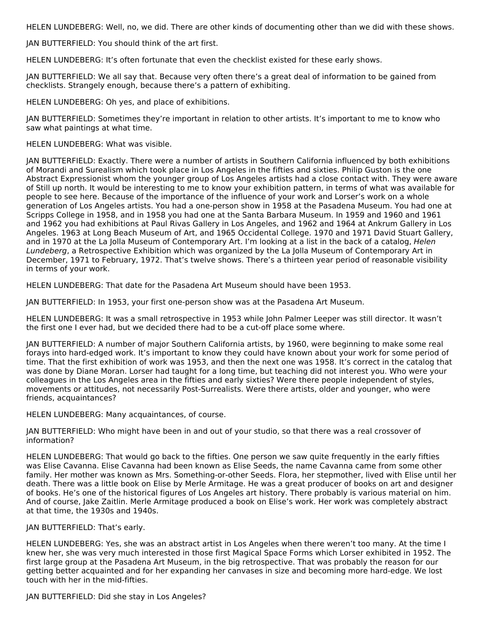HELEN LUNDEBERG: Well, no, we did. There are other kinds of documenting other than we did with these shows.

JAN BUTTERFIELD: You should think of the art first.

HELEN LUNDEBERG: It's often fortunate that even the checklist existed for these early shows.

JAN BUTTERFIELD: We all say that. Because very often there's a great deal of information to be gained from checklists. Strangely enough, because there's a pattern of exhibiting.

HELEN LUNDEBERG: Oh yes, and place of exhibitions.

JAN BUTTERFIELD: Sometimes they're important in relation to other artists. It's important to me to know who saw what paintings at what time.

HELEN LUNDEBERG: What was visible.

JAN BUTTERFIELD: Exactly. There were a number of artists in Southern California influenced by both exhibitions of Morandi and Surealism which took place in Los Angeles in the fifties and sixties. Philip Guston is the one Abstract Expressionist whom the younger group of Los Angeles artists had a close contact with. They were aware of Still up north. It would be interesting to me to know your exhibition pattern, in terms of what was available for people to see here. Because of the importance of the influence of your work and Lorser's work on a whole generation of Los Angeles artists. You had a one-person show in 1958 at the Pasadena Museum. You had one at Scripps College in 1958, and in 1958 you had one at the Santa Barbara Museum. In 1959 and 1960 and 1961 and 1962 you had exhibitions at Paul Rivas Gallery in Los Angeles, and 1962 and 1964 at Ankrum Gallery in Los Angeles. 1963 at Long Beach Museum of Art, and 1965 Occidental College. 1970 and 1971 David Stuart Gallery, and in 1970 at the La Jolla Museum of Contemporary Art. I'm looking at a list in the back of a catalog, Helen Lundeberg, a Retrospective Exhibition which was organized by the La Jolla Museum of Contemporary Art in December, 1971 to February, 1972. That's twelve shows. There's a thirteen year period of reasonable visibility in terms of your work.

HELEN LUNDEBERG: That date for the Pasadena Art Museum should have been 1953.

JAN BUTTERFIELD: In 1953, your first one-person show was at the Pasadena Art Museum.

HELEN LUNDEBERG: It was a small retrospective in 1953 while John Palmer Leeper was still director. It wasn't the first one I ever had, but we decided there had to be a cut-off place some where.

JAN BUTTERFIELD: A number of major Southern California artists, by 1960, were beginning to make some real forays into hard-edged work. It's important to know they could have known about your work for some period of time. That the first exhibition of work was 1953, and then the next one was 1958. It's correct in the catalog that was done by Diane Moran. Lorser had taught for a long time, but teaching did not interest you. Who were your colleagues in the Los Angeles area in the fifties and early sixties? Were there people independent of styles, movements or attitudes, not necessarily Post-Surrealists. Were there artists, older and younger, who were friends, acquaintances?

HELEN LUNDEBERG: Many acquaintances, of course.

JAN BUTTERFIELD: Who might have been in and out of your studio, so that there was a real crossover of information?

HELEN LUNDEBERG: That would go back to the fifties. One person we saw quite frequently in the early fifties was Elise Cavanna. Elise Cavanna had been known as Elise Seeds, the name Cavanna came from some other family. Her mother was known as Mrs. Something-or-other Seeds. Flora, her stepmother, lived with Elise until her death. There was a little book on Elise by Merle Armitage. He was a great producer of books on art and designer of books. He's one of the historical figures of Los Angeles art history. There probably is various material on him. And of course, Jake Zaitlin. Merle Armitage produced a book on Elise's work. Her work was completely abstract at that time, the 1930s and 1940s.

JAN BUTTERFIELD: That's early.

HELEN LUNDEBERG: Yes, she was an abstract artist in Los Angeles when there weren't too many. At the time I knew her, she was very much interested in those first Magical Space Forms which Lorser exhibited in 1952. The first large group at the Pasadena Art Museum, in the big retrospective. That was probably the reason for our getting better acquainted and for her expanding her canvases in size and becoming more hard-edge. We lost touch with her in the mid-fifties.

JAN BUTTERFIELD: Did she stay in Los Angeles?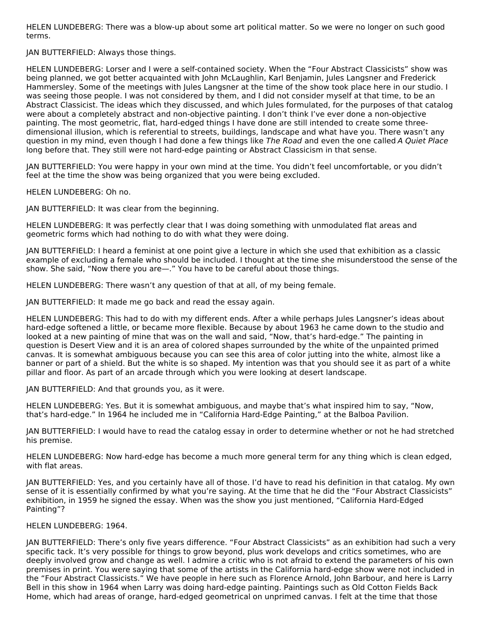HELEN LUNDEBERG: There was a blow-up about some art political matter. So we were no longer on such good terms.

JAN BUTTERFIELD: Always those things.

HELEN LUNDEBERG: Lorser and I were a self-contained society. When the "Four Abstract Classicists" show was being planned, we got better acquainted with John McLaughlin, Karl Benjamin, Jules Langsner and Frederick Hammersley. Some of the meetings with Jules Langsner at the time of the show took place here in our studio. I was seeing those people. I was not considered by them, and I did not consider myself at that time, to be an Abstract Classicist. The ideas which they discussed, and which Jules formulated, for the purposes of that catalog were about a completely abstract and non-objective painting. I don't think I've ever done a non-objective painting. The most geometric, flat, hard-edged things I have done are still intended to create some threedimensional illusion, which is referential to streets, buildings, landscape and what have you. There wasn't any question in my mind, even though I had done a few things like The Road and even the one called A Quiet Place long before that. They still were not hard-edge painting or Abstract Classicism in that sense.

JAN BUTTERFIELD: You were happy in your own mind at the time. You didn't feel uncomfortable, or you didn't feel at the time the show was being organized that you were being excluded.

HELEN LUNDEBERG: Oh no.

JAN BUTTERFIELD: It was clear from the beginning.

HELEN LUNDEBERG: It was perfectly clear that I was doing something with unmodulated flat areas and geometric forms which had nothing to do with what they were doing.

JAN BUTTERFIELD: I heard a feminist at one point give a lecture in which she used that exhibition as a classic example of excluding a female who should be included. I thought at the time she misunderstood the sense of the show. She said, "Now there you are—." You have to be careful about those things.

HELEN LUNDEBERG: There wasn't any question of that at all, of my being female.

JAN BUTTERFIELD: It made me go back and read the essay again.

HELEN LUNDEBERG: This had to do with my different ends. After a while perhaps Jules Langsner's ideas about hard-edge softened a little, or became more flexible. Because by about 1963 he came down to the studio and looked at a new painting of mine that was on the wall and said, "Now, that's hard-edge." The painting in question is Desert View and it is an area of colored shapes surrounded by the white of the unpainted primed canvas. It is somewhat ambiguous because you can see this area of color jutting into the white, almost like a banner or part of a shield. But the white is so shaped. My intention was that you should see it as part of a white pillar and floor. As part of an arcade through which you were looking at desert landscape.

JAN BUTTERFIELD: And that grounds you, as it were.

HELEN LUNDEBERG: Yes. But it is somewhat ambiguous, and maybe that's what inspired him to say, "Now, that's hard-edge." In 1964 he included me in "California Hard-Edge Painting," at the Balboa Pavilion.

JAN BUTTERFIELD: I would have to read the catalog essay in order to determine whether or not he had stretched his premise.

HELEN LUNDEBERG: Now hard-edge has become a much more general term for any thing which is clean edged, with flat areas.

JAN BUTTERFIELD: Yes, and you certainly have all of those. I'd have to read his definition in that catalog. My own sense of it is essentially confirmed by what you're saying. At the time that he did the "Four Abstract Classicists" exhibition, in 1959 he signed the essay. When was the show you just mentioned, "California Hard-Edged Painting"?

#### HELEN LUNDEBERG: 1964.

JAN BUTTERFIELD: There's only five years difference. "Four Abstract Classicists" as an exhibition had such a very specific tack. It's very possible for things to grow beyond, plus work develops and critics sometimes, who are deeply involved grow and change as well. I admire a critic who is not afraid to extend the parameters of his own premises in print. You were saying that some of the artists in the California hard-edge show were not included in the "Four Abstract Classicists." We have people in here such as Florence Arnold, John Barbour, and here is Larry Bell in this show in 1964 when Larry was doing hard-edge painting. Paintings such as Old Cotton Fields Back Home, which had areas of orange, hard-edged geometrical on unprimed canvas. I felt at the time that those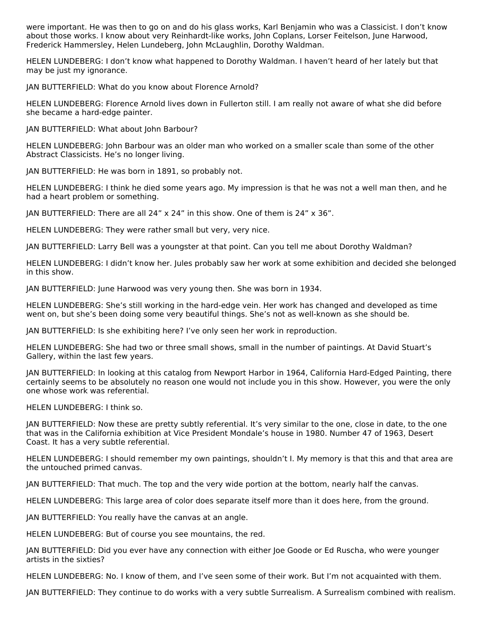were important. He was then to go on and do his glass works, Karl Benjamin who was a Classicist. I don't know about those works. I know about very Reinhardt-like works, John Coplans, Lorser Feitelson, June Harwood, Frederick Hammersley, Helen Lundeberg, John McLaughlin, Dorothy Waldman.

HELEN LUNDEBERG: I don't know what happened to Dorothy Waldman. I haven't heard of her lately but that may be just my ignorance.

JAN BUTTERFIELD: What do you know about Florence Arnold?

HELEN LUNDEBERG: Florence Arnold lives down in Fullerton still. I am really not aware of what she did before she became a hard-edge painter.

JAN BUTTERFIELD: What about John Barbour?

HELEN LUNDEBERG: John Barbour was an older man who worked on a smaller scale than some of the other Abstract Classicists. He's no longer living.

JAN BUTTERFIELD: He was born in 1891, so probably not.

HELEN LUNDEBERG: I think he died some years ago. My impression is that he was not a well man then, and he had a heart problem or something.

JAN BUTTERFIELD: There are all 24" x 24" in this show. One of them is 24" x 36".

HELEN LUNDEBERG: They were rather small but very, very nice.

JAN BUTTERFIELD: Larry Bell was a youngster at that point. Can you tell me about Dorothy Waldman?

HELEN LUNDEBERG: I didn't know her. Jules probably saw her work at some exhibition and decided she belonged in this show.

JAN BUTTERFIELD: June Harwood was very young then. She was born in 1934.

HELEN LUNDEBERG: She's still working in the hard-edge vein. Her work has changed and developed as time went on, but she's been doing some very beautiful things. She's not as well-known as she should be.

JAN BUTTERFIELD: Is she exhibiting here? I've only seen her work in reproduction.

HELEN LUNDEBERG: She had two or three small shows, small in the number of paintings. At David Stuart's Gallery, within the last few years.

JAN BUTTERFIELD: In looking at this catalog from Newport Harbor in 1964, California Hard-Edged Painting, there certainly seems to be absolutely no reason one would not include you in this show. However, you were the only one whose work was referential.

HELEN LUNDEBERG: I think so.

JAN BUTTERFIELD: Now these are pretty subtly referential. It's very similar to the one, close in date, to the one that was in the California exhibition at Vice President Mondale's house in 1980. Number 47 of 1963, Desert Coast. It has a very subtle referential.

HELEN LUNDEBERG: I should remember my own paintings, shouldn't I. My memory is that this and that area are the untouched primed canvas.

JAN BUTTERFIELD: That much. The top and the very wide portion at the bottom, nearly half the canvas.

HELEN LUNDEBERG: This large area of color does separate itself more than it does here, from the ground.

JAN BUTTERFIELD: You really have the canvas at an angle.

HELEN LUNDEBERG: But of course you see mountains, the red.

JAN BUTTERFIELD: Did you ever have any connection with either Joe Goode or Ed Ruscha, who were younger artists in the sixties?

HELEN LUNDEBERG: No. I know of them, and I've seen some of their work. But I'm not acquainted with them.

JAN BUTTERFIELD: They continue to do works with a very subtle Surrealism. A Surrealism combined with realism.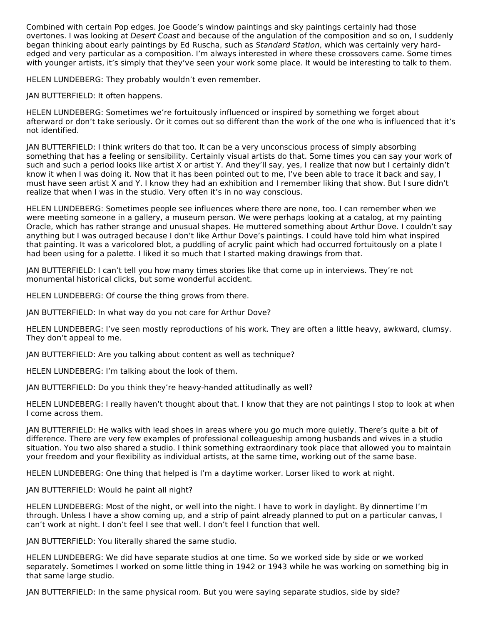Combined with certain Pop edges. Joe Goode's window paintings and sky paintings certainly had those overtones. I was looking at Desert Coast and because of the angulation of the composition and so on, I suddenly began thinking about early paintings by Ed Ruscha, such as Standard Station, which was certainly very hardedged and very particular as a composition. I'm always interested in where these crossovers came. Some times with younger artists, it's simply that they've seen your work some place. It would be interesting to talk to them.

HELEN LUNDEBERG: They probably wouldn't even remember.

JAN BUTTERFIELD: It often happens.

HELEN LUNDEBERG: Sometimes we're fortuitously influenced or inspired by something we forget about afterward or don't take seriously. Or it comes out so different than the work of the one who is influenced that it's not identified.

JAN BUTTERFIELD: I think writers do that too. It can be a very unconscious process of simply absorbing something that has a feeling or sensibility. Certainly visual artists do that. Some times you can say your work of such and such a period looks like artist X or artist Y. And they'll say, yes, I realize that now but I certainly didn't know it when I was doing it. Now that it has been pointed out to me, I've been able to trace it back and say, I must have seen artist X and Y. I know they had an exhibition and I remember liking that show. But I sure didn't realize that when I was in the studio. Very often it's in no way conscious.

HELEN LUNDEBERG: Sometimes people see influences where there are none, too. I can remember when we were meeting someone in a gallery, a museum person. We were perhaps looking at a catalog, at my painting Oracle, which has rather strange and unusual shapes. He muttered something about Arthur Dove. I couldn't say anything but I was outraged because I don't like Arthur Dove's paintings. I could have told him what inspired that painting. It was a varicolored blot, a puddling of acrylic paint which had occurred fortuitously on a plate I had been using for a palette. I liked it so much that I started making drawings from that.

JAN BUTTERFIELD: I can't tell you how many times stories like that come up in interviews. They're not monumental historical clicks, but some wonderful accident.

HELEN LUNDEBERG: Of course the thing grows from there.

JAN BUTTERFIELD: In what way do you not care for Arthur Dove?

HELEN LUNDEBERG: I've seen mostly reproductions of his work. They are often a little heavy, awkward, clumsy. They don't appeal to me.

JAN BUTTERFIELD: Are you talking about content as well as technique?

HELEN LUNDEBERG: I'm talking about the look of them.

JAN BUTTERFIELD: Do you think they're heavy-handed attitudinally as well?

HELEN LUNDEBERG: I really haven't thought about that. I know that they are not paintings I stop to look at when I come across them.

JAN BUTTERFIELD: He walks with lead shoes in areas where you go much more quietly. There's quite a bit of difference. There are very few examples of professional colleagueship among husbands and wives in a studio situation. You two also shared a studio. I think something extraordinary took place that allowed you to maintain your freedom and your flexibility as individual artists, at the same time, working out of the same base.

HELEN LUNDEBERG: One thing that helped is I'm a daytime worker. Lorser liked to work at night.

JAN BUTTERFIELD: Would he paint all night?

HELEN LUNDEBERG: Most of the night, or well into the night. I have to work in daylight. By dinnertime I'm through. Unless I have a show coming up, and a strip of paint already planned to put on a particular canvas, I can't work at night. I don't feel I see that well. I don't feel I function that well.

JAN BUTTERFIELD: You literally shared the same studio.

HELEN LUNDEBERG: We did have separate studios at one time. So we worked side by side or we worked separately. Sometimes I worked on some little thing in 1942 or 1943 while he was working on something big in that same large studio.

JAN BUTTERFIELD: In the same physical room. But you were saying separate studios, side by side?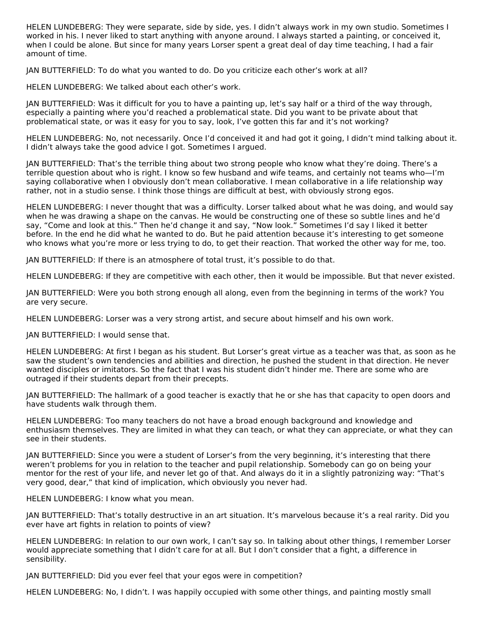HELEN LUNDEBERG: They were separate, side by side, yes. I didn't always work in my own studio. Sometimes I worked in his. I never liked to start anything with anyone around. I always started a painting, or conceived it, when I could be alone. But since for many years Lorser spent a great deal of day time teaching, I had a fair amount of time.

JAN BUTTERFIELD: To do what you wanted to do. Do you criticize each other's work at all?

HELEN LUNDEBERG: We talked about each other's work.

JAN BUTTERFIELD: Was it difficult for you to have a painting up, let's say half or a third of the way through, especially a painting where you'd reached a problematical state. Did you want to be private about that problematical state, or was it easy for you to say, look, I've gotten this far and it's not working?

HELEN LUNDEBERG: No, not necessarily. Once I'd conceived it and had got it going, I didn't mind talking about it. I didn't always take the good advice I got. Sometimes I argued.

JAN BUTTERFIELD: That's the terrible thing about two strong people who know what they're doing. There's a terrible question about who is right. I know so few husband and wife teams, and certainly not teams who—I'm saying collaborative when I obviously don't mean collaborative. I mean collaborative in a life relationship way rather, not in a studio sense. I think those things are difficult at best, with obviously strong egos.

HELEN LUNDEBERG: I never thought that was a difficulty. Lorser talked about what he was doing, and would say when he was drawing a shape on the canvas. He would be constructing one of these so subtle lines and he'd say, "Come and look at this." Then he'd change it and say, "Now look." Sometimes I'd say I liked it better before. In the end he did what he wanted to do. But he paid attention because it's interesting to get someone who knows what you're more or less trying to do, to get their reaction. That worked the other way for me, too.

JAN BUTTERFIELD: If there is an atmosphere of total trust, it's possible to do that.

HELEN LUNDEBERG: If they are competitive with each other, then it would be impossible. But that never existed.

JAN BUTTERFIELD: Were you both strong enough all along, even from the beginning in terms of the work? You are very secure.

HELEN LUNDEBERG: Lorser was a very strong artist, and secure about himself and his own work.

JAN BUTTERFIELD: I would sense that.

HELEN LUNDEBERG: At first I began as his student. But Lorser's great virtue as a teacher was that, as soon as he saw the student's own tendencies and abilities and direction, he pushed the student in that direction. He never wanted disciples or imitators. So the fact that I was his student didn't hinder me. There are some who are outraged if their students depart from their precepts.

JAN BUTTERFIELD: The hallmark of a good teacher is exactly that he or she has that capacity to open doors and have students walk through them.

HELEN LUNDEBERG: Too many teachers do not have a broad enough background and knowledge and enthusiasm themselves. They are limited in what they can teach, or what they can appreciate, or what they can see in their students.

JAN BUTTERFIELD: Since you were a student of Lorser's from the very beginning, it's interesting that there weren't problems for you in relation to the teacher and pupil relationship. Somebody can go on being your mentor for the rest of your life, and never let go of that. And always do it in a slightly patronizing way: "That's very good, dear," that kind of implication, which obviously you never had.

HELEN LUNDEBERG: I know what you mean.

JAN BUTTERFIELD: That's totally destructive in an art situation. It's marvelous because it's a real rarity. Did you ever have art fights in relation to points of view?

HELEN LUNDEBERG: In relation to our own work, I can't say so. In talking about other things, I remember Lorser would appreciate something that I didn't care for at all. But I don't consider that a fight, a difference in sensibility.

JAN BUTTERFIELD: Did you ever feel that your egos were in competition?

HELEN LUNDEBERG: No, I didn't. I was happily occupied with some other things, and painting mostly small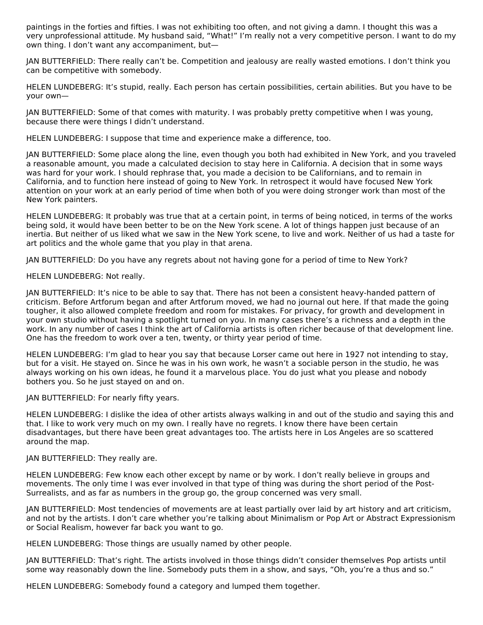paintings in the forties and fifties. I was not exhibiting too often, and not giving a damn. I thought this was a very unprofessional attitude. My husband said, "What!" I'm really not a very competitive person. I want to do my own thing. I don't want any accompaniment, but—

JAN BUTTERFIELD: There really can't be. Competition and jealousy are really wasted emotions. I don't think you can be competitive with somebody.

HELEN LUNDEBERG: It's stupid, really. Each person has certain possibilities, certain abilities. But you have to be your own—

JAN BUTTERFIELD: Some of that comes with maturity. I was probably pretty competitive when I was young, because there were things I didn't understand.

HELEN LUNDEBERG: I suppose that time and experience make a difference, too.

JAN BUTTERFIELD: Some place along the line, even though you both had exhibited in New York, and you traveled a reasonable amount, you made a calculated decision to stay here in California. A decision that in some ways was hard for your work. I should rephrase that, you made a decision to be Californians, and to remain in California, and to function here instead of going to New York. In retrospect it would have focused New York attention on your work at an early period of time when both of you were doing stronger work than most of the New York painters.

HELEN LUNDEBERG: It probably was true that at a certain point, in terms of being noticed, in terms of the works being sold, it would have been better to be on the New York scene. A lot of things happen just because of an inertia. But neither of us liked what we saw in the New York scene, to live and work. Neither of us had a taste for art politics and the whole game that you play in that arena.

JAN BUTTERFIELD: Do you have any regrets about not having gone for a period of time to New York?

HELEN LUNDEBERG: Not really.

JAN BUTTERFIELD: It's nice to be able to say that. There has not been a consistent heavy-handed pattern of criticism. Before Artforum began and after Artforum moved, we had no journal out here. If that made the going tougher, it also allowed complete freedom and room for mistakes. For privacy, for growth and development in your own studio without having a spotlight turned on you. In many cases there's a richness and a depth in the work. In any number of cases I think the art of California artists is often richer because of that development line. One has the freedom to work over a ten, twenty, or thirty year period of time.

HELEN LUNDEBERG: I'm glad to hear you say that because Lorser came out here in 1927 not intending to stay, but for a visit. He stayed on. Since he was in his own work, he wasn't a sociable person in the studio, he was always working on his own ideas, he found it a marvelous place. You do just what you please and nobody bothers you. So he just stayed on and on.

JAN BUTTERFIELD: For nearly fifty years.

HELEN LUNDEBERG: I dislike the idea of other artists always walking in and out of the studio and saying this and that. I like to work very much on my own. I really have no regrets. I know there have been certain disadvantages, but there have been great advantages too. The artists here in Los Angeles are so scattered around the map.

JAN BUTTERFIELD: They really are.

HELEN LUNDEBERG: Few know each other except by name or by work. I don't really believe in groups and movements. The only time I was ever involved in that type of thing was during the short period of the Post-Surrealists, and as far as numbers in the group go, the group concerned was very small.

JAN BUTTERFIELD: Most tendencies of movements are at least partially over laid by art history and art criticism, and not by the artists. I don't care whether you're talking about Minimalism or Pop Art or Abstract Expressionism or Social Realism, however far back you want to go.

HELEN LUNDEBERG: Those things are usually named by other people.

JAN BUTTERFIELD: That's right. The artists involved in those things didn't consider themselves Pop artists until some way reasonably down the line. Somebody puts them in a show, and says, "Oh, you're a thus and so."

HELEN LUNDEBERG: Somebody found a category and lumped them together.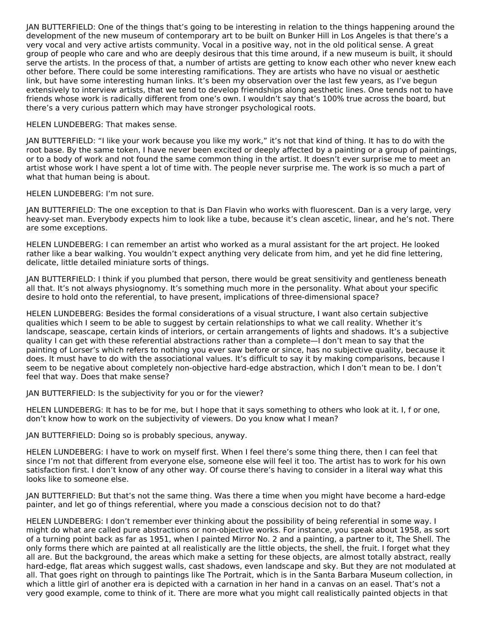JAN BUTTERFIELD: One of the things that's going to be interesting in relation to the things happening around the development of the new museum of contemporary art to be built on Bunker Hill in Los Angeles is that there's a very vocal and very active artists community. Vocal in a positive way, not in the old political sense. A great group of people who care and who are deeply desirous that this time around, if a new museum is built, it should serve the artists. In the process of that, a number of artists are getting to know each other who never knew each other before. There could be some interesting ramifications. They are artists who have no visual or aesthetic link, but have some interesting human links. It's been my observation over the last few years, as I've begun extensively to interview artists, that we tend to develop friendships along aesthetic lines. One tends not to have friends whose work is radically different from one's own. I wouldn't say that's 100% true across the board, but there's a very curious pattern which may have stronger psychological roots.

HELEN LUNDEBERG: That makes sense.

JAN BUTTERFIELD: "I like your work because you like my work," it's not that kind of thing. It has to do with the root base. By the same token, I have never been excited or deeply affected by a painting or a group of paintings, or to a body of work and not found the same common thing in the artist. It doesn't ever surprise me to meet an artist whose work I have spent a lot of time with. The people never surprise me. The work is so much a part of what that human being is about.

HELEN LUNDEBERG: I'm not sure.

JAN BUTTERFIELD: The one exception to that is Dan Flavin who works with fluorescent. Dan is a very large, very heavy-set man. Everybody expects him to look like a tube, because it's clean ascetic, linear, and he's not. There are some exceptions.

HELEN LUNDEBERG: I can remember an artist who worked as a mural assistant for the art project. He looked rather like a bear walking. You wouldn't expect anything very delicate from him, and yet he did fine lettering, delicate, little detailed miniature sorts of things.

JAN BUTTERFIELD: I think if you plumbed that person, there would be great sensitivity and gentleness beneath all that. It's not always physiognomy. It's something much more in the personality. What about your specific desire to hold onto the referential, to have present, implications of three-dimensional space?

HELEN LUNDEBERG: Besides the formal considerations of a visual structure, I want also certain subjective qualities which I seem to be able to suggest by certain relationships to what we call reality. Whether it's landscape, seascape, certain kinds of interiors, or certain arrangements of lights and shadows. It's a subjective quality I can get with these referential abstractions rather than a complete—I don't mean to say that the painting of Lorser's which refers to nothing you ever saw before or since, has no subjective quality, because it does. It must have to do with the associational values. It's difficult to say it by making comparisons, because I seem to be negative about completely non-objective hard-edge abstraction, which I don't mean to be. I don't feel that way. Does that make sense?

JAN BUTTERFIELD: Is the subjectivity for you or for the viewer?

HELEN LUNDEBERG: It has to be for me, but I hope that it says something to others who look at it. I, f or one, don't know how to work on the subjectivity of viewers. Do you know what I mean?

JAN BUTTERFIELD: Doing so is probably specious, anyway.

HELEN LUNDEBERG: I have to work on myself first. When I feel there's some thing there, then I can feel that since I'm not that different from everyone else, someone else will feel it too. The artist has to work for his own satisfaction first. I don't know of any other way. Of course there's having to consider in a literal way what this looks like to someone else.

JAN BUTTERFIELD: But that's not the same thing. Was there a time when you might have become a hard-edge painter, and let go of things referential, where you made a conscious decision not to do that?

HELEN LUNDEBERG: I don't remember ever thinking about the possibility of being referential in some way. I might do what are called pure abstractions or non-objective works. For instance, you speak about 1958, as sort of a turning point back as far as 1951, when I painted Mirror No. 2 and a painting, a partner to it, The Shell. The only forms there which are painted at all realistically are the little objects, the shell, the fruit. I forget what they all are. But the background, the areas which make a setting for these objects, are almost totally abstract, really hard-edge, flat areas which suggest walls, cast shadows, even landscape and sky. But they are not modulated at all. That goes right on through to paintings like The Portrait, which is in the Santa Barbara Museum collection, in which a little girl of another era is depicted with a carnation in her hand in a canvas on an easel. That's not a very good example, come to think of it. There are more what you might call realistically painted objects in that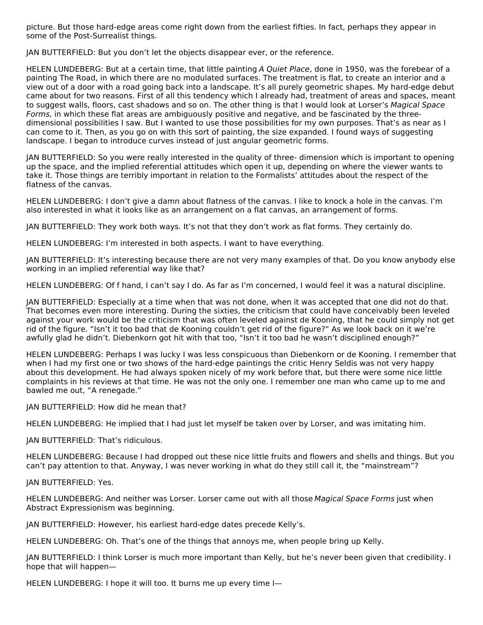picture. But those hard-edge areas come right down from the earliest fifties. In fact, perhaps they appear in some of the Post-Surrealist things.

JAN BUTTERFIELD: But you don't let the objects disappear ever, or the reference.

HELEN LUNDEBERG: But at a certain time, that little painting A Quiet Place, done in 1950, was the forebear of a painting The Road, in which there are no modulated surfaces. The treatment is flat, to create an interior and a view out of a door with a road going back into a landscape. It's all purely geometric shapes. My hard-edge debut came about for two reasons. First of all this tendency which I already had, treatment of areas and spaces, meant to suggest walls, floors, cast shadows and so on. The other thing is that I would look at Lorser's Magical Space Forms, in which these flat areas are ambiguously positive and negative, and be fascinated by the threedimensional possibilities I saw. But I wanted to use those possibilities for my own purposes. That's as near as I can come to it. Then, as you go on with this sort of painting, the size expanded. I found ways of suggesting landscape. I began to introduce curves instead of just angular geometric forms.

JAN BUTTERFIELD: So you were really interested in the quality of three- dimension which is important to opening up the space, and the implied referential attitudes which open it up, depending on where the viewer wants to take it. Those things are terribly important in relation to the Formalists' attitudes about the respect of the flatness of the canvas.

HELEN LUNDEBERG: I don't give a damn about flatness of the canvas. I like to knock a hole in the canvas. I'm also interested in what it looks like as an arrangement on a flat canvas, an arrangement of forms.

JAN BUTTERFIELD: They work both ways. It's not that they don't work as flat forms. They certainly do.

HELEN LUNDEBERG: I'm interested in both aspects. I want to have everything.

JAN BUTTERFIELD: It's interesting because there are not very many examples of that. Do you know anybody else working in an implied referential way like that?

HELEN LUNDEBERG: Of f hand, I can't say I do. As far as I'm concerned, I would feel it was a natural discipline.

JAN BUTTERFIELD: Especially at a time when that was not done, when it was accepted that one did not do that. That becomes even more interesting. During the sixties, the criticism that could have conceivably been leveled against your work would be the criticism that was often leveled against de Kooning, that he could simply not get rid of the figure. "Isn't it too bad that de Kooning couldn't get rid of the figure?" As we look back on it we're awfully glad he didn't. Diebenkorn got hit with that too, "Isn't it too bad he wasn't disciplined enough?"

HELEN LUNDEBERG: Perhaps I was lucky I was less conspicuous than Diebenkorn or de Kooning. I remember that when I had my first one or two shows of the hard-edge paintings the critic Henry Seldis was not very happy about this development. He had always spoken nicely of my work before that, but there were some nice little complaints in his reviews at that time. He was not the only one. I remember one man who came up to me and bawled me out, "A renegade."

JAN BUTTERFIELD: How did he mean that?

HELEN LUNDEBERG: He implied that I had just let myself be taken over by Lorser, and was imitating him.

JAN BUTTERFIELD: That's ridiculous.

HELEN LUNDEBERG: Because I had dropped out these nice little fruits and flowers and shells and things. But you can't pay attention to that. Anyway, I was never working in what do they still call it, the "mainstream"?

JAN BUTTERFIELD: Yes.

HELEN LUNDEBERG: And neither was Lorser. Lorser came out with all those Magical Space Forms just when Abstract Expressionism was beginning.

JAN BUTTERFIELD: However, his earliest hard-edge dates precede Kelly's.

HELEN LUNDEBERG: Oh. That's one of the things that annoys me, when people bring up Kelly.

JAN BUTTERFIELD: I think Lorser is much more important than Kelly, but he's never been given that credibility. I hope that will happen—

HELEN LUNDEBERG: I hope it will too. It burns me up every time I—